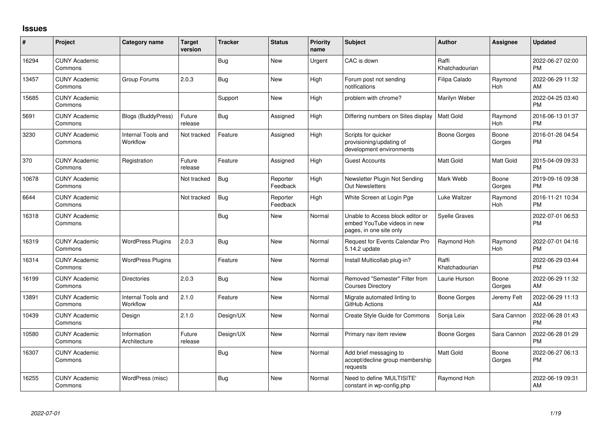## **Issues**

| #     | Project                         | Category name                         | <b>Target</b><br>version | <b>Tracker</b> | <b>Status</b>        | <b>Priority</b><br>name | <b>Subject</b>                                                                             | <b>Author</b>           | <b>Assignee</b> | <b>Updated</b>                |
|-------|---------------------------------|---------------------------------------|--------------------------|----------------|----------------------|-------------------------|--------------------------------------------------------------------------------------------|-------------------------|-----------------|-------------------------------|
| 16294 | <b>CUNY Academic</b><br>Commons |                                       |                          | <b>Bug</b>     | <b>New</b>           | Urgent                  | CAC is down                                                                                | Raffi<br>Khatchadourian |                 | 2022-06-27 02:00<br><b>PM</b> |
| 13457 | <b>CUNY Academic</b><br>Commons | Group Forums                          | 2.0.3                    | Bug            | <b>New</b>           | High                    | Forum post not sending<br>notifications                                                    | Filipa Calado           | Raymond<br>Hoh  | 2022-06-29 11:32<br>AM        |
| 15685 | <b>CUNY Academic</b><br>Commons |                                       |                          | Support        | <b>New</b>           | High                    | problem with chrome?                                                                       | Marilyn Weber           |                 | 2022-04-25 03:40<br><b>PM</b> |
| 5691  | <b>CUNY Academic</b><br>Commons | Blogs (BuddyPress)                    | Future<br>release        | Bug            | Assigned             | High                    | Differing numbers on Sites display                                                         | l Matt Gold             | Raymond<br>Hoh  | 2016-06-13 01:37<br><b>PM</b> |
| 3230  | <b>CUNY Academic</b><br>Commons | <b>Internal Tools and</b><br>Workflow | Not tracked              | Feature        | Assigned             | High                    | Scripts for quicker<br>provisioning/updating of<br>development environments                | <b>Boone Gorges</b>     | Boone<br>Gorges | 2016-01-26 04:54<br><b>PM</b> |
| 370   | <b>CUNY Academic</b><br>Commons | Registration                          | Future<br>release        | Feature        | Assigned             | High                    | <b>Guest Accounts</b>                                                                      | <b>Matt Gold</b>        | Matt Gold       | 2015-04-09 09:33<br><b>PM</b> |
| 10678 | <b>CUNY Academic</b><br>Commons |                                       | Not tracked              | Bug            | Reporter<br>Feedback | High                    | Newsletter Plugin Not Sending<br>Out Newsletters                                           | Mark Webb               | Boone<br>Gorges | 2019-09-16 09:38<br><b>PM</b> |
| 6644  | <b>CUNY Academic</b><br>Commons |                                       | Not tracked              | Bug            | Reporter<br>Feedback | High                    | White Screen at Login Pge                                                                  | Luke Waltzer            | Raymond<br>Hoh  | 2016-11-21 10:34<br><b>PM</b> |
| 16318 | <b>CUNY Academic</b><br>Commons |                                       |                          | Bug            | <b>New</b>           | Normal                  | Unable to Access block editor or<br>embed YouTube videos in new<br>pages, in one site only | <b>Syelle Graves</b>    |                 | 2022-07-01 06:53<br><b>PM</b> |
| 16319 | <b>CUNY Academic</b><br>Commons | <b>WordPress Plugins</b>              | 2.0.3                    | <b>Bug</b>     | New                  | Normal                  | Request for Events Calendar Pro<br>5.14.2 update                                           | Raymond Hoh             | Raymond<br>Hoh  | 2022-07-01 04:16<br><b>PM</b> |
| 16314 | <b>CUNY Academic</b><br>Commons | <b>WordPress Plugins</b>              |                          | Feature        | <b>New</b>           | Normal                  | Install Multicollab plug-in?                                                               | Raffi<br>Khatchadourian |                 | 2022-06-29 03:44<br><b>PM</b> |
| 16199 | <b>CUNY Academic</b><br>Commons | <b>Directories</b>                    | 2.0.3                    | <b>Bug</b>     | <b>New</b>           | Normal                  | Removed "Semester" Filter from<br><b>Courses Directory</b>                                 | Laurie Hurson           | Boone<br>Gorges | 2022-06-29 11:32<br>AM        |
| 13891 | <b>CUNY Academic</b><br>Commons | <b>Internal Tools and</b><br>Workflow | 2.1.0                    | Feature        | <b>New</b>           | Normal                  | Migrate automated linting to<br>GitHub Actions                                             | <b>Boone Gorges</b>     | Jeremy Felt     | 2022-06-29 11:13<br>AM        |
| 10439 | <b>CUNY Academic</b><br>Commons | Design                                | 2.1.0                    | Design/UX      | <b>New</b>           | Normal                  | Create Style Guide for Commons                                                             | Sonja Leix              | Sara Cannon     | 2022-06-28 01:43<br><b>PM</b> |
| 10580 | <b>CUNY Academic</b><br>Commons | Information<br>Architecture           | Future<br>release        | Design/UX      | New                  | Normal                  | Primary nav item review                                                                    | <b>Boone Gorges</b>     | Sara Cannon     | 2022-06-28 01:29<br><b>PM</b> |
| 16307 | <b>CUNY Academic</b><br>Commons |                                       |                          | Bug            | <b>New</b>           | Normal                  | Add brief messaging to<br>accept/decline group membership<br>requests                      | <b>Matt Gold</b>        | Boone<br>Gorges | 2022-06-27 06:13<br><b>PM</b> |
| 16255 | <b>CUNY Academic</b><br>Commons | WordPress (misc)                      |                          | Bug            | New                  | Normal                  | Need to define 'MULTISITE'<br>constant in wp-config.php                                    | Raymond Hoh             |                 | 2022-06-19 09:31<br>AM        |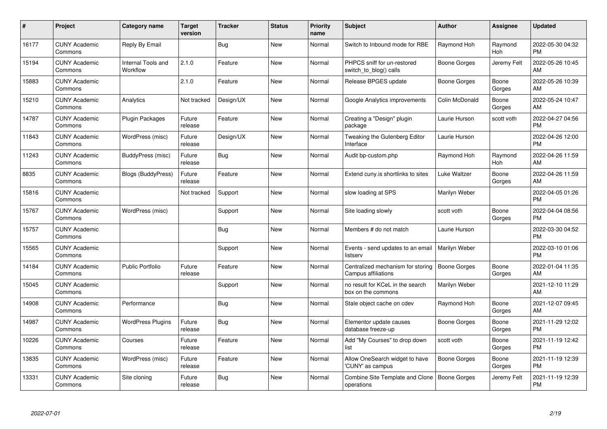| $\#$  | Project                         | <b>Category name</b>                  | <b>Target</b><br>version | <b>Tracker</b> | <b>Status</b> | <b>Priority</b><br>name | <b>Subject</b>                                           | <b>Author</b>       | <b>Assignee</b> | <b>Updated</b>                |
|-------|---------------------------------|---------------------------------------|--------------------------|----------------|---------------|-------------------------|----------------------------------------------------------|---------------------|-----------------|-------------------------------|
| 16177 | <b>CUNY Academic</b><br>Commons | Reply By Email                        |                          | <b>Bug</b>     | <b>New</b>    | Normal                  | Switch to Inbound mode for RBE                           | Raymond Hoh         | Raymond<br>Hoh  | 2022-05-30 04:32<br><b>PM</b> |
| 15194 | <b>CUNY Academic</b><br>Commons | <b>Internal Tools and</b><br>Workflow | 2.1.0                    | Feature        | <b>New</b>    | Normal                  | PHPCS sniff for un-restored<br>switch to blog() calls    | Boone Gorges        | Jeremy Felt     | 2022-05-26 10:45<br>AM        |
| 15883 | <b>CUNY Academic</b><br>Commons |                                       | 2.1.0                    | Feature        | <b>New</b>    | Normal                  | Release BPGES update                                     | Boone Gorges        | Boone<br>Gorges | 2022-05-26 10:39<br>AM        |
| 15210 | <b>CUNY Academic</b><br>Commons | Analytics                             | Not tracked              | Design/UX      | <b>New</b>    | Normal                  | Google Analytics improvements                            | Colin McDonald      | Boone<br>Gorges | 2022-05-24 10:47<br>AM        |
| 14787 | <b>CUNY Academic</b><br>Commons | <b>Plugin Packages</b>                | Future<br>release        | Feature        | <b>New</b>    | Normal                  | Creating a "Design" plugin<br>package                    | Laurie Hurson       | scott voth      | 2022-04-27 04:56<br><b>PM</b> |
| 11843 | <b>CUNY Academic</b><br>Commons | WordPress (misc)                      | Future<br>release        | Design/UX      | <b>New</b>    | Normal                  | Tweaking the Gutenberg Editor<br>Interface               | Laurie Hurson       |                 | 2022-04-26 12:00<br><b>PM</b> |
| 11243 | <b>CUNY Academic</b><br>Commons | <b>BuddyPress (misc)</b>              | Future<br>release        | Bug            | New           | Normal                  | Audit bp-custom.php                                      | Raymond Hoh         | Raymond<br>Hoh  | 2022-04-26 11:59<br>AM        |
| 8835  | <b>CUNY Academic</b><br>Commons | <b>Blogs (BuddyPress)</b>             | Future<br>release        | Feature        | <b>New</b>    | Normal                  | Extend cuny.is shortlinks to sites                       | Luke Waltzer        | Boone<br>Gorges | 2022-04-26 11:59<br>AM        |
| 15816 | <b>CUNY Academic</b><br>Commons |                                       | Not tracked              | Support        | <b>New</b>    | Normal                  | slow loading at SPS                                      | Marilyn Weber       |                 | 2022-04-05 01:26<br><b>PM</b> |
| 15767 | <b>CUNY Academic</b><br>Commons | WordPress (misc)                      |                          | Support        | <b>New</b>    | Normal                  | Site loading slowly                                      | scott voth          | Boone<br>Gorges | 2022-04-04 08:56<br><b>PM</b> |
| 15757 | <b>CUNY Academic</b><br>Commons |                                       |                          | <b>Bug</b>     | <b>New</b>    | Normal                  | Members # do not match                                   | Laurie Hurson       |                 | 2022-03-30 04:52<br><b>PM</b> |
| 15565 | <b>CUNY Academic</b><br>Commons |                                       |                          | Support        | New           | Normal                  | Events - send updates to an email<br>listserv            | Marilyn Weber       |                 | 2022-03-10 01:06<br><b>PM</b> |
| 14184 | <b>CUNY Academic</b><br>Commons | <b>Public Portfolio</b>               | Future<br>release        | Feature        | <b>New</b>    | Normal                  | Centralized mechanism for storing<br>Campus affiliations | <b>Boone Gorges</b> | Boone<br>Gorges | 2022-01-04 11:35<br>AM        |
| 15045 | <b>CUNY Academic</b><br>Commons |                                       |                          | Support        | New           | Normal                  | no result for KCeL in the search<br>box on the commons   | Marilyn Weber       |                 | 2021-12-10 11:29<br>AM        |
| 14908 | <b>CUNY Academic</b><br>Commons | Performance                           |                          | Bug            | New           | Normal                  | Stale object cache on cdev                               | Raymond Hoh         | Boone<br>Gorges | 2021-12-07 09:45<br>AM        |
| 14987 | <b>CUNY Academic</b><br>Commons | <b>WordPress Plugins</b>              | Future<br>release        | Bug            | New           | Normal                  | Elementor update causes<br>database freeze-up            | <b>Boone Gorges</b> | Boone<br>Gorges | 2021-11-29 12:02<br><b>PM</b> |
| 10226 | <b>CUNY Academic</b><br>Commons | Courses                               | Future<br>release        | Feature        | New           | Normal                  | Add "My Courses" to drop down<br>list                    | scott voth          | Boone<br>Gorges | 2021-11-19 12:42<br><b>PM</b> |
| 13835 | <b>CUNY Academic</b><br>Commons | WordPress (misc)                      | Future<br>release        | Feature        | <b>New</b>    | Normal                  | Allow OneSearch widget to have<br>'CUNY' as campus       | Boone Gorges        | Boone<br>Gorges | 2021-11-19 12:39<br><b>PM</b> |
| 13331 | <b>CUNY Academic</b><br>Commons | Site cloning                          | Future<br>release        | Bug            | <b>New</b>    | Normal                  | Combine Site Template and Clone<br>operations            | <b>Boone Gorges</b> | Jeremy Felt     | 2021-11-19 12:39<br><b>PM</b> |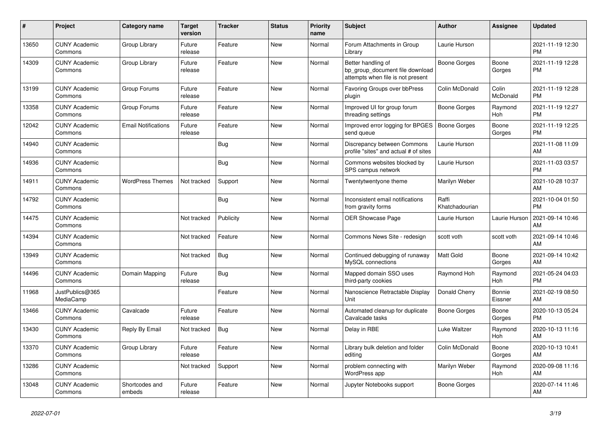| #     | <b>Project</b>                  | Category name              | <b>Target</b><br>version | <b>Tracker</b> | <b>Status</b> | <b>Priority</b><br>name | <b>Subject</b>                                                                             | <b>Author</b>           | Assignee          | <b>Updated</b>                |
|-------|---------------------------------|----------------------------|--------------------------|----------------|---------------|-------------------------|--------------------------------------------------------------------------------------------|-------------------------|-------------------|-------------------------------|
| 13650 | <b>CUNY Academic</b><br>Commons | Group Library              | Future<br>release        | Feature        | <b>New</b>    | Normal                  | Forum Attachments in Group<br>Library                                                      | Laurie Hurson           |                   | 2021-11-19 12:30<br><b>PM</b> |
| 14309 | <b>CUNY Academic</b><br>Commons | Group Library              | Future<br>release        | Feature        | New           | Normal                  | Better handling of<br>bp_group_document file download<br>attempts when file is not present | <b>Boone Gorges</b>     | Boone<br>Gorges   | 2021-11-19 12:28<br><b>PM</b> |
| 13199 | <b>CUNY Academic</b><br>Commons | Group Forums               | Future<br>release        | Feature        | <b>New</b>    | Normal                  | Favoring Groups over bbPress<br>plugin                                                     | Colin McDonald          | Colin<br>McDonald | 2021-11-19 12:28<br><b>PM</b> |
| 13358 | <b>CUNY Academic</b><br>Commons | Group Forums               | Future<br>release        | Feature        | <b>New</b>    | Normal                  | Improved UI for group forum<br>threading settings                                          | Boone Gorges            | Raymond<br>Hoh    | 2021-11-19 12:27<br><b>PM</b> |
| 12042 | <b>CUNY Academic</b><br>Commons | <b>Email Notifications</b> | Future<br>release        | Feature        | New           | Normal                  | Improved error logging for BPGES<br>send queue                                             | <b>Boone Gorges</b>     | Boone<br>Gorges   | 2021-11-19 12:25<br><b>PM</b> |
| 14940 | <b>CUNY Academic</b><br>Commons |                            |                          | Bug            | <b>New</b>    | Normal                  | Discrepancy between Commons<br>profile "sites" and actual # of sites                       | Laurie Hurson           |                   | 2021-11-08 11:09<br>AM        |
| 14936 | <b>CUNY Academic</b><br>Commons |                            |                          | Bug            | <b>New</b>    | Normal                  | Commons websites blocked by<br>SPS campus network                                          | Laurie Hurson           |                   | 2021-11-03 03:57<br><b>PM</b> |
| 14911 | <b>CUNY Academic</b><br>Commons | <b>WordPress Themes</b>    | Not tracked              | Support        | New           | Normal                  | Twentytwentyone theme                                                                      | Marilyn Weber           |                   | 2021-10-28 10:37<br>AM        |
| 14792 | <b>CUNY Academic</b><br>Commons |                            |                          | Bug            | <b>New</b>    | Normal                  | Inconsistent email notifications<br>from gravity forms                                     | Raffi<br>Khatchadourian |                   | 2021-10-04 01:50<br><b>PM</b> |
| 14475 | <b>CUNY Academic</b><br>Commons |                            | Not tracked              | Publicity      | <b>New</b>    | Normal                  | <b>OER Showcase Page</b>                                                                   | Laurie Hurson           | Laurie Hurson     | 2021-09-14 10:46<br>AM        |
| 14394 | <b>CUNY Academic</b><br>Commons |                            | Not tracked              | Feature        | New           | Normal                  | Commons News Site - redesign                                                               | scott voth              | scott voth        | 2021-09-14 10:46<br>AM        |
| 13949 | <b>CUNY Academic</b><br>Commons |                            | Not tracked              | Bug            | New           | Normal                  | Continued debugging of runaway<br>MySQL connections                                        | <b>Matt Gold</b>        | Boone<br>Gorges   | 2021-09-14 10:42<br>AM        |
| 14496 | <b>CUNY Academic</b><br>Commons | Domain Mapping             | Future<br>release        | <b>Bug</b>     | <b>New</b>    | Normal                  | Mapped domain SSO uses<br>third-party cookies                                              | Raymond Hoh             | Raymond<br>Hoh    | 2021-05-24 04:03<br><b>PM</b> |
| 11968 | JustPublics@365<br>MediaCamp    |                            |                          | Feature        | <b>New</b>    | Normal                  | Nanoscience Retractable Display<br>Unit                                                    | Donald Cherry           | Bonnie<br>Eissner | 2021-02-19 08:50<br>AM        |
| 13466 | <b>CUNY Academic</b><br>Commons | Cavalcade                  | Future<br>release        | Feature        | <b>New</b>    | Normal                  | Automated cleanup for duplicate<br>Cavalcade tasks                                         | Boone Gorges            | Boone<br>Gorges   | 2020-10-13 05:24<br><b>PM</b> |
| 13430 | <b>CUNY Academic</b><br>Commons | Reply By Email             | Not tracked              | Bug            | New           | Normal                  | Delay in RBE                                                                               | Luke Waltzer            | Raymond<br>Hoh    | 2020-10-13 11:16<br>AM        |
| 13370 | <b>CUNY Academic</b><br>Commons | Group Library              | Future<br>release        | Feature        | <b>New</b>    | Normal                  | Library bulk deletion and folder<br>editina                                                | Colin McDonald          | Boone<br>Gorges   | 2020-10-13 10:41<br>AM        |
| 13286 | <b>CUNY Academic</b><br>Commons |                            | Not tracked              | Support        | New           | Normal                  | problem connecting with<br>WordPress app                                                   | Marilyn Weber           | Raymond<br>Hoh    | 2020-09-08 11:16<br>AM        |
| 13048 | <b>CUNY Academic</b><br>Commons | Shortcodes and<br>embeds   | Future<br>release        | Feature        | <b>New</b>    | Normal                  | Jupyter Notebooks support                                                                  | Boone Gorges            |                   | 2020-07-14 11:46<br>AM        |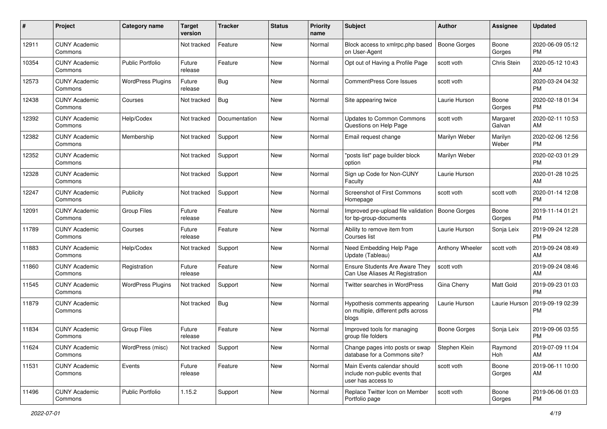| #     | Project                         | <b>Category name</b>     | <b>Target</b><br>version | <b>Tracker</b> | <b>Status</b> | Priority<br>name | <b>Subject</b>                                                                      | Author              | <b>Assignee</b>    | <b>Updated</b>                |
|-------|---------------------------------|--------------------------|--------------------------|----------------|---------------|------------------|-------------------------------------------------------------------------------------|---------------------|--------------------|-------------------------------|
| 12911 | <b>CUNY Academic</b><br>Commons |                          | Not tracked              | Feature        | New           | Normal           | Block access to xmlrpc.php based<br>on User-Agent                                   | <b>Boone Gorges</b> | Boone<br>Gorges    | 2020-06-09 05:12<br>PM.       |
| 10354 | <b>CUNY Academic</b><br>Commons | <b>Public Portfolio</b>  | Future<br>release        | Feature        | New           | Normal           | Opt out of Having a Profile Page                                                    | scott voth          | Chris Stein        | 2020-05-12 10:43<br>AM        |
| 12573 | <b>CUNY Academic</b><br>Commons | <b>WordPress Plugins</b> | Future<br>release        | Bug            | New           | Normal           | <b>CommentPress Core Issues</b>                                                     | scott voth          |                    | 2020-03-24 04:32<br><b>PM</b> |
| 12438 | <b>CUNY Academic</b><br>Commons | Courses                  | Not tracked              | Bug            | New           | Normal           | Site appearing twice                                                                | Laurie Hurson       | Boone<br>Gorges    | 2020-02-18 01:34<br><b>PM</b> |
| 12392 | <b>CUNY Academic</b><br>Commons | Help/Codex               | Not tracked              | Documentation  | <b>New</b>    | Normal           | <b>Updates to Common Commons</b><br>Questions on Help Page                          | scott voth          | Margaret<br>Galvan | 2020-02-11 10:53<br>AM        |
| 12382 | <b>CUNY Academic</b><br>Commons | Membership               | Not tracked              | Support        | New           | Normal           | Email request change                                                                | Marilyn Weber       | Marilyn<br>Weber   | 2020-02-06 12:56<br><b>PM</b> |
| 12352 | <b>CUNY Academic</b><br>Commons |                          | Not tracked              | Support        | New           | Normal           | "posts list" page builder block<br>option                                           | Marilyn Weber       |                    | 2020-02-03 01:29<br><b>PM</b> |
| 12328 | <b>CUNY Academic</b><br>Commons |                          | Not tracked              | Support        | <b>New</b>    | Normal           | Sign up Code for Non-CUNY<br>Faculty                                                | Laurie Hurson       |                    | 2020-01-28 10:25<br>AM.       |
| 12247 | <b>CUNY Academic</b><br>Commons | Publicity                | Not tracked              | Support        | New           | Normal           | <b>Screenshot of First Commons</b><br>Homepage                                      | scott voth          | scott voth         | 2020-01-14 12:08<br><b>PM</b> |
| 12091 | <b>CUNY Academic</b><br>Commons | <b>Group Files</b>       | Future<br>release        | Feature        | <b>New</b>    | Normal           | Improved pre-upload file validation<br>for bp-group-documents                       | <b>Boone Gorges</b> | Boone<br>Gorges    | 2019-11-14 01:21<br>PM.       |
| 11789 | <b>CUNY Academic</b><br>Commons | Courses                  | Future<br>release        | Feature        | <b>New</b>    | Normal           | Ability to remove item from<br>Courses list                                         | Laurie Hurson       | Sonja Leix         | 2019-09-24 12:28<br><b>PM</b> |
| 11883 | <b>CUNY Academic</b><br>Commons | Help/Codex               | Not tracked              | Support        | New           | Normal           | Need Embedding Help Page<br>Update (Tableau)                                        | Anthony Wheeler     | scott voth         | 2019-09-24 08:49<br>AM        |
| 11860 | <b>CUNY Academic</b><br>Commons | Registration             | Future<br>release        | Feature        | New           | Normal           | Ensure Students Are Aware They<br>Can Use Aliases At Registration                   | scott voth          |                    | 2019-09-24 08:46<br>AM        |
| 11545 | <b>CUNY Academic</b><br>Commons | <b>WordPress Plugins</b> | Not tracked              | Support        | New           | Normal           | Twitter searches in WordPress                                                       | Gina Cherry         | Matt Gold          | 2019-09-23 01:03<br><b>PM</b> |
| 11879 | <b>CUNY Academic</b><br>Commons |                          | Not tracked              | Bug            | New           | Normal           | Hypothesis comments appearing<br>on multiple, different pdfs across<br>blogs        | Laurie Hurson       | Laurie Hurson      | 2019-09-19 02:39<br><b>PM</b> |
| 11834 | <b>CUNY Academic</b><br>Commons | <b>Group Files</b>       | Future<br>release        | Feature        | New           | Normal           | Improved tools for managing<br>group file folders                                   | <b>Boone Gorges</b> | Sonja Leix         | 2019-09-06 03:55<br><b>PM</b> |
| 11624 | <b>CUNY Academic</b><br>Commons | WordPress (misc)         | Not tracked              | Support        | New           | Normal           | Change pages into posts or swap<br>database for a Commons site?                     | Stephen Klein       | Raymond<br>Hoh     | 2019-07-09 11:04<br>AM        |
| 11531 | <b>CUNY Academic</b><br>Commons | Events                   | Future<br>release        | Feature        | New           | Normal           | Main Events calendar should<br>include non-public events that<br>user has access to | scott voth          | Boone<br>Gorges    | 2019-06-11 10:00<br>AM        |
| 11496 | <b>CUNY Academic</b><br>Commons | Public Portfolio         | 1.15.2                   | Support        | New           | Normal           | Replace Twitter Icon on Member<br>Portfolio page                                    | scott voth          | Boone<br>Gorges    | 2019-06-06 01:03<br>PM        |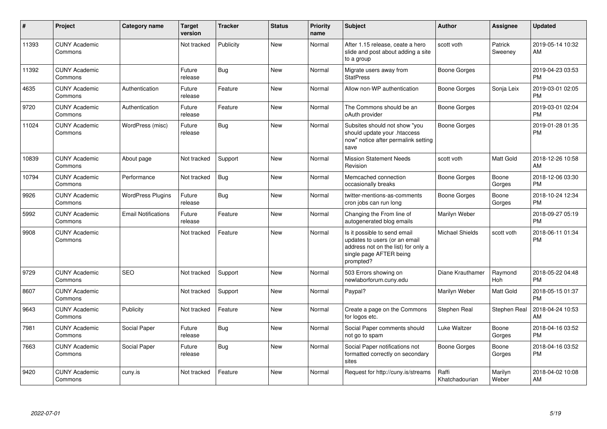| #     | Project                         | Category name              | <b>Target</b><br>version | <b>Tracker</b> | <b>Status</b> | <b>Priority</b><br>name | <b>Subject</b>                                                                                                                               | <b>Author</b>           | <b>Assignee</b>    | <b>Updated</b>                |
|-------|---------------------------------|----------------------------|--------------------------|----------------|---------------|-------------------------|----------------------------------------------------------------------------------------------------------------------------------------------|-------------------------|--------------------|-------------------------------|
| 11393 | <b>CUNY Academic</b><br>Commons |                            | Not tracked              | Publicity      | <b>New</b>    | Normal                  | After 1.15 release, ceate a hero<br>slide and post about adding a site<br>to a group                                                         | scott voth              | Patrick<br>Sweeney | 2019-05-14 10:32<br>AM        |
| 11392 | <b>CUNY Academic</b><br>Commons |                            | Future<br>release        | Bug            | <b>New</b>    | Normal                  | Migrate users away from<br><b>StatPress</b>                                                                                                  | Boone Gorges            |                    | 2019-04-23 03:53<br><b>PM</b> |
| 4635  | <b>CUNY Academic</b><br>Commons | Authentication             | Future<br>release        | Feature        | New           | Normal                  | Allow non-WP authentication                                                                                                                  | Boone Gorges            | Sonja Leix         | 2019-03-01 02:05<br><b>PM</b> |
| 9720  | <b>CUNY Academic</b><br>Commons | Authentication             | Future<br>release        | Feature        | <b>New</b>    | Normal                  | The Commons should be an<br>oAuth provider                                                                                                   | <b>Boone Gorges</b>     |                    | 2019-03-01 02:04<br><b>PM</b> |
| 11024 | <b>CUNY Academic</b><br>Commons | WordPress (misc)           | Future<br>release        | Bug            | <b>New</b>    | Normal                  | Subsites should not show "you<br>should update your .htaccess<br>now" notice after permalink setting<br>save                                 | <b>Boone Gorges</b>     |                    | 2019-01-28 01:35<br><b>PM</b> |
| 10839 | <b>CUNY Academic</b><br>Commons | About page                 | Not tracked              | Support        | <b>New</b>    | Normal                  | <b>Mission Statement Needs</b><br>Revision                                                                                                   | scott voth              | Matt Gold          | 2018-12-26 10:58<br>AM        |
| 10794 | <b>CUNY Academic</b><br>Commons | Performance                | Not tracked              | Bug            | <b>New</b>    | Normal                  | Memcached connection<br>occasionally breaks                                                                                                  | Boone Gorges            | Boone<br>Gorges    | 2018-12-06 03:30<br><b>PM</b> |
| 9926  | <b>CUNY Academic</b><br>Commons | <b>WordPress Plugins</b>   | Future<br>release        | Bug            | New           | Normal                  | twitter-mentions-as-comments<br>cron jobs can run long                                                                                       | Boone Gorges            | Boone<br>Gorges    | 2018-10-24 12:34<br><b>PM</b> |
| 5992  | <b>CUNY Academic</b><br>Commons | <b>Email Notifications</b> | Future<br>release        | Feature        | <b>New</b>    | Normal                  | Changing the From line of<br>autogenerated blog emails                                                                                       | Marilyn Weber           |                    | 2018-09-27 05:19<br><b>PM</b> |
| 9908  | <b>CUNY Academic</b><br>Commons |                            | Not tracked              | Feature        | <b>New</b>    | Normal                  | Is it possible to send email<br>updates to users (or an email<br>address not on the list) for only a<br>single page AFTER being<br>prompted? | <b>Michael Shields</b>  | scott voth         | 2018-06-11 01:34<br><b>PM</b> |
| 9729  | <b>CUNY Academic</b><br>Commons | <b>SEO</b>                 | Not tracked              | Support        | New           | Normal                  | 503 Errors showing on<br>newlaborforum.cuny.edu                                                                                              | Diane Krauthamer        | Raymond<br>Hoh     | 2018-05-22 04:48<br><b>PM</b> |
| 8607  | <b>CUNY Academic</b><br>Commons |                            | Not tracked              | Support        | <b>New</b>    | Normal                  | Paypal?                                                                                                                                      | Marilyn Weber           | Matt Gold          | 2018-05-15 01:37<br><b>PM</b> |
| 9643  | <b>CUNY Academic</b><br>Commons | Publicity                  | Not tracked              | Feature        | <b>New</b>    | Normal                  | Create a page on the Commons<br>for logos etc.                                                                                               | Stephen Real            | Stephen Real       | 2018-04-24 10:53<br>AM        |
| 7981  | <b>CUNY Academic</b><br>Commons | Social Paper               | Future<br>release        | <b>Bug</b>     | <b>New</b>    | Normal                  | Social Paper comments should<br>not go to spam                                                                                               | Luke Waltzer            | Boone<br>Gorges    | 2018-04-16 03:52<br><b>PM</b> |
| 7663  | <b>CUNY Academic</b><br>Commons | Social Paper               | Future<br>release        | Bug            | <b>New</b>    | Normal                  | Social Paper notifications not<br>formatted correctly on secondary<br>sites                                                                  | <b>Boone Gorges</b>     | Boone<br>Gorges    | 2018-04-16 03:52<br><b>PM</b> |
| 9420  | <b>CUNY Academic</b><br>Commons | cuny.is                    | Not tracked              | Feature        | New           | Normal                  | Request for http://cuny.is/streams                                                                                                           | Raffi<br>Khatchadourian | Marilyn<br>Weber   | 2018-04-02 10:08<br>AM        |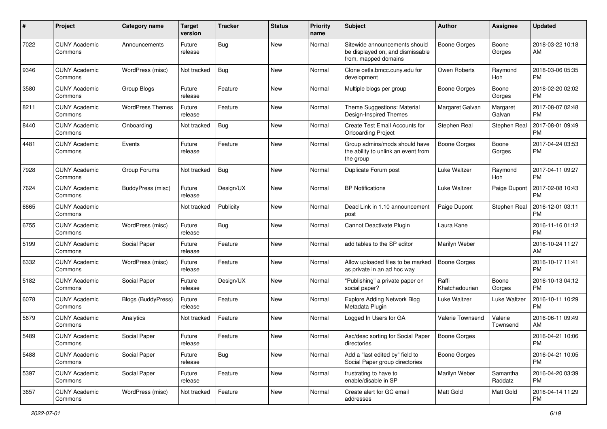| #    | Project                         | <b>Category name</b>    | <b>Target</b><br>version | <b>Tracker</b> | <b>Status</b> | Priority<br>name | <b>Subject</b>                                                                            | Author                  | <b>Assignee</b>       | <b>Updated</b>                |
|------|---------------------------------|-------------------------|--------------------------|----------------|---------------|------------------|-------------------------------------------------------------------------------------------|-------------------------|-----------------------|-------------------------------|
| 7022 | <b>CUNY Academic</b><br>Commons | Announcements           | Future<br>release        | Bug            | <b>New</b>    | Normal           | Sitewide announcements should<br>be displayed on, and dismissable<br>from, mapped domains | <b>Boone Gorges</b>     | Boone<br>Gorges       | 2018-03-22 10:18<br>AM        |
| 9346 | <b>CUNY Academic</b><br>Commons | WordPress (misc)        | Not tracked              | Bug            | <b>New</b>    | Normal           | Clone cetls.bmcc.cuny.edu for<br>development                                              | Owen Roberts            | Raymond<br>Hoh        | 2018-03-06 05:35<br><b>PM</b> |
| 3580 | <b>CUNY Academic</b><br>Commons | Group Blogs             | Future<br>release        | Feature        | New           | Normal           | Multiple blogs per group                                                                  | <b>Boone Gorges</b>     | Boone<br>Gorges       | 2018-02-20 02:02<br><b>PM</b> |
| 8211 | <b>CUNY Academic</b><br>Commons | <b>WordPress Themes</b> | Future<br>release        | Feature        | New           | Normal           | Theme Suggestions: Material<br>Design-Inspired Themes                                     | Margaret Galvan         | Margaret<br>Galvan    | 2017-08-07 02:48<br><b>PM</b> |
| 8440 | <b>CUNY Academic</b><br>Commons | Onboarding              | Not tracked              | Bug            | <b>New</b>    | Normal           | Create Test Email Accounts for<br><b>Onboarding Project</b>                               | Stephen Real            | Stephen Real          | 2017-08-01 09:49<br><b>PM</b> |
| 4481 | <b>CUNY Academic</b><br>Commons | Events                  | Future<br>release        | Feature        | <b>New</b>    | Normal           | Group admins/mods should have<br>the ability to unlink an event from<br>the group         | <b>Boone Gorges</b>     | Boone<br>Gorges       | 2017-04-24 03:53<br><b>PM</b> |
| 7928 | <b>CUNY Academic</b><br>Commons | Group Forums            | Not tracked              | Bug            | <b>New</b>    | Normal           | Duplicate Forum post                                                                      | Luke Waltzer            | Raymond<br><b>Hoh</b> | 2017-04-11 09:27<br><b>PM</b> |
| 7624 | <b>CUNY Academic</b><br>Commons | BuddyPress (misc)       | Future<br>release        | Design/UX      | New           | Normal           | <b>BP</b> Notifications                                                                   | Luke Waltzer            | Paige Dupont          | 2017-02-08 10:43<br><b>PM</b> |
| 6665 | <b>CUNY Academic</b><br>Commons |                         | Not tracked              | Publicity      | <b>New</b>    | Normal           | Dead Link in 1.10 announcement<br>post                                                    | Paige Dupont            | Stephen Real          | 2016-12-01 03:11<br><b>PM</b> |
| 6755 | <b>CUNY Academic</b><br>Commons | WordPress (misc)        | Future<br>release        | Bug            | <b>New</b>    | Normal           | Cannot Deactivate Plugin                                                                  | Laura Kane              |                       | 2016-11-16 01:12<br><b>PM</b> |
| 5199 | <b>CUNY Academic</b><br>Commons | Social Paper            | Future<br>release        | Feature        | <b>New</b>    | Normal           | add tables to the SP editor                                                               | Marilyn Weber           |                       | 2016-10-24 11:27<br>AM        |
| 6332 | <b>CUNY Academic</b><br>Commons | WordPress (misc)        | Future<br>release        | Feature        | New           | Normal           | Allow uploaded files to be marked<br>as private in an ad hoc way                          | Boone Gorges            |                       | 2016-10-17 11:41<br><b>PM</b> |
| 5182 | <b>CUNY Academic</b><br>Commons | Social Paper            | Future<br>release        | Design/UX      | <b>New</b>    | Normal           | "Publishing" a private paper on<br>social paper?                                          | Raffi<br>Khatchadourian | Boone<br>Gorges       | 2016-10-13 04:12<br><b>PM</b> |
| 6078 | <b>CUNY Academic</b><br>Commons | Blogs (BuddyPress)      | Future<br>release        | Feature        | <b>New</b>    | Normal           | <b>Explore Adding Network Blog</b><br>Metadata Plugin                                     | Luke Waltzer            | Luke Waltzer          | 2016-10-11 10:29<br><b>PM</b> |
| 5679 | <b>CUNY Academic</b><br>Commons | Analytics               | Not tracked              | Feature        | New           | Normal           | Logged In Users for GA                                                                    | Valerie Townsend        | Valerie<br>Townsend   | 2016-06-11 09:49<br>AM        |
| 5489 | <b>CUNY Academic</b><br>Commons | Social Paper            | Future<br>release        | Feature        | New           | Normal           | Asc/desc sorting for Social Paper<br>directories                                          | <b>Boone Gorges</b>     |                       | 2016-04-21 10:06<br>PM        |
| 5488 | <b>CUNY Academic</b><br>Commons | Social Paper            | Future<br>release        | Bug            | New           | Normal           | Add a "last edited by" field to<br>Social Paper group directories                         | <b>Boone Gorges</b>     |                       | 2016-04-21 10:05<br><b>PM</b> |
| 5397 | <b>CUNY Academic</b><br>Commons | Social Paper            | Future<br>release        | Feature        | New           | Normal           | frustrating to have to<br>enable/disable in SP                                            | Marilyn Weber           | Samantha<br>Raddatz   | 2016-04-20 03:39<br><b>PM</b> |
| 3657 | <b>CUNY Academic</b><br>Commons | WordPress (misc)        | Not tracked              | Feature        | New           | Normal           | Create alert for GC email<br>addresses                                                    | Matt Gold               | Matt Gold             | 2016-04-14 11:29<br><b>PM</b> |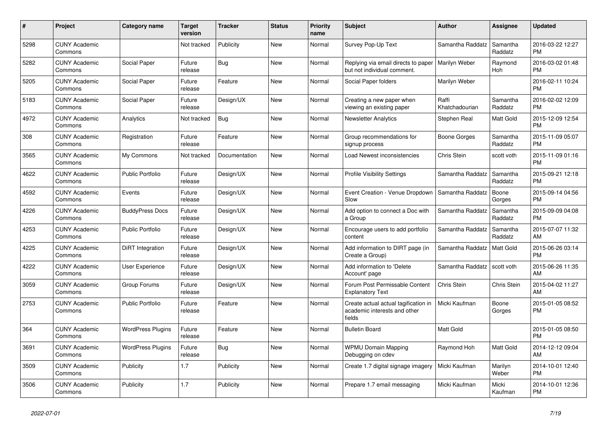| $\#$ | Project                         | <b>Category name</b>     | <b>Target</b><br>version | <b>Tracker</b> | <b>Status</b> | <b>Priority</b><br>name | <b>Subject</b>                                                                 | <b>Author</b>           | Assignee            | <b>Updated</b>                |
|------|---------------------------------|--------------------------|--------------------------|----------------|---------------|-------------------------|--------------------------------------------------------------------------------|-------------------------|---------------------|-------------------------------|
| 5298 | <b>CUNY Academic</b><br>Commons |                          | Not tracked              | Publicity      | <b>New</b>    | Normal                  | Survey Pop-Up Text                                                             | Samantha Raddatz        | Samantha<br>Raddatz | 2016-03-22 12:27<br><b>PM</b> |
| 5282 | <b>CUNY Academic</b><br>Commons | Social Paper             | Future<br>release        | Bug            | <b>New</b>    | Normal                  | Replying via email directs to paper<br>but not individual comment.             | Marilyn Weber           | Raymond<br>Hoh      | 2016-03-02 01:48<br><b>PM</b> |
| 5205 | <b>CUNY Academic</b><br>Commons | Social Paper             | Future<br>release        | Feature        | New           | Normal                  | Social Paper folders                                                           | Marilyn Weber           |                     | 2016-02-11 10:24<br><b>PM</b> |
| 5183 | <b>CUNY Academic</b><br>Commons | Social Paper             | Future<br>release        | Design/UX      | <b>New</b>    | Normal                  | Creating a new paper when<br>viewing an existing paper                         | Raffi<br>Khatchadourian | Samantha<br>Raddatz | 2016-02-02 12:09<br><b>PM</b> |
| 4972 | <b>CUNY Academic</b><br>Commons | Analytics                | Not tracked              | <b>Bug</b>     | <b>New</b>    | Normal                  | <b>Newsletter Analytics</b>                                                    | Stephen Real            | Matt Gold           | 2015-12-09 12:54<br><b>PM</b> |
| 308  | <b>CUNY Academic</b><br>Commons | Registration             | Future<br>release        | Feature        | New           | Normal                  | Group recommendations for<br>signup process                                    | Boone Gorges            | Samantha<br>Raddatz | 2015-11-09 05:07<br><b>PM</b> |
| 3565 | <b>CUNY Academic</b><br>Commons | My Commons               | Not tracked              | Documentation  | <b>New</b>    | Normal                  | Load Newest inconsistencies                                                    | Chris Stein             | scott voth          | 2015-11-09 01:16<br><b>PM</b> |
| 4622 | <b>CUNY Academic</b><br>Commons | <b>Public Portfolio</b>  | Future<br>release        | Design/UX      | <b>New</b>    | Normal                  | <b>Profile Visibility Settings</b>                                             | Samantha Raddatz        | Samantha<br>Raddatz | 2015-09-21 12:18<br><b>PM</b> |
| 4592 | <b>CUNY Academic</b><br>Commons | Events                   | Future<br>release        | Design/UX      | <b>New</b>    | Normal                  | Event Creation - Venue Dropdown<br>Slow                                        | Samantha Raddatz        | Boone<br>Gorges     | 2015-09-14 04:56<br><b>PM</b> |
| 4226 | <b>CUNY Academic</b><br>Commons | <b>BuddyPress Docs</b>   | Future<br>release        | Design/UX      | <b>New</b>    | Normal                  | Add option to connect a Doc with<br>a Group                                    | Samantha Raddatz        | Samantha<br>Raddatz | 2015-09-09 04:08<br><b>PM</b> |
| 4253 | <b>CUNY Academic</b><br>Commons | <b>Public Portfolio</b>  | Future<br>release        | Design/UX      | <b>New</b>    | Normal                  | Encourage users to add portfolio<br>content                                    | Samantha Raddatz        | Samantha<br>Raddatz | 2015-07-07 11:32<br>AM        |
| 4225 | <b>CUNY Academic</b><br>Commons | DiRT Integration         | Future<br>release        | Design/UX      | <b>New</b>    | Normal                  | Add information to DIRT page (in<br>Create a Group)                            | Samantha Raddatz        | Matt Gold           | 2015-06-26 03:14<br><b>PM</b> |
| 4222 | <b>CUNY Academic</b><br>Commons | <b>User Experience</b>   | Future<br>release        | Design/UX      | New           | Normal                  | Add information to 'Delete<br>Account' page                                    | Samantha Raddatz        | scott voth          | 2015-06-26 11:35<br>AM        |
| 3059 | <b>CUNY Academic</b><br>Commons | Group Forums             | Future<br>release        | Design/UX      | <b>New</b>    | Normal                  | Forum Post Permissable Content<br><b>Explanatory Text</b>                      | Chris Stein             | Chris Stein         | 2015-04-02 11:27<br>AM        |
| 2753 | <b>CUNY Academic</b><br>Commons | <b>Public Portfolio</b>  | Future<br>release        | Feature        | <b>New</b>    | Normal                  | Create actual actual tagification in<br>academic interests and other<br>fields | Micki Kaufman           | Boone<br>Gorges     | 2015-01-05 08:52<br><b>PM</b> |
| 364  | <b>CUNY Academic</b><br>Commons | <b>WordPress Plugins</b> | Future<br>release        | Feature        | <b>New</b>    | Normal                  | <b>Bulletin Board</b>                                                          | Matt Gold               |                     | 2015-01-05 08:50<br><b>PM</b> |
| 3691 | <b>CUNY Academic</b><br>Commons | <b>WordPress Plugins</b> | Future<br>release        | Bug            | <b>New</b>    | Normal                  | <b>WPMU Domain Mapping</b><br>Debugging on cdev                                | Raymond Hoh             | Matt Gold           | 2014-12-12 09:04<br>AM        |
| 3509 | <b>CUNY Academic</b><br>Commons | Publicity                | 1.7                      | Publicity      | New           | Normal                  | Create 1.7 digital signage imagery                                             | Micki Kaufman           | Marilyn<br>Weber    | 2014-10-01 12:40<br><b>PM</b> |
| 3506 | <b>CUNY Academic</b><br>Commons | Publicity                | 1.7                      | Publicity      | <b>New</b>    | Normal                  | Prepare 1.7 email messaging                                                    | Micki Kaufman           | Micki<br>Kaufman    | 2014-10-01 12:36<br><b>PM</b> |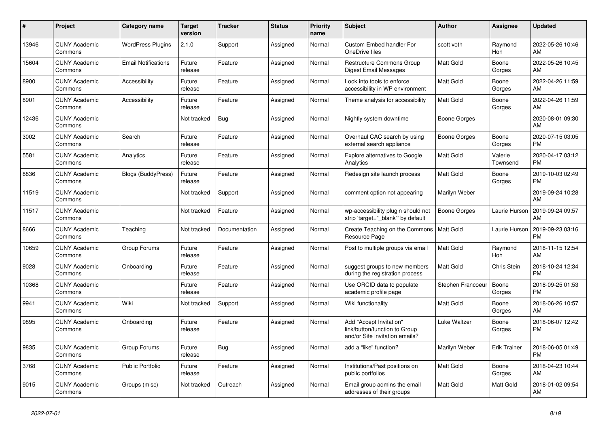| #     | <b>Project</b>                  | Category name              | <b>Target</b><br>version | <b>Tracker</b> | <b>Status</b> | Priority<br>name | <b>Subject</b>                                                                             | <b>Author</b>     | Assignee            | <b>Updated</b>                |
|-------|---------------------------------|----------------------------|--------------------------|----------------|---------------|------------------|--------------------------------------------------------------------------------------------|-------------------|---------------------|-------------------------------|
| 13946 | <b>CUNY Academic</b><br>Commons | <b>WordPress Plugins</b>   | 2.1.0                    | Support        | Assigned      | Normal           | Custom Embed handler For<br>OneDrive files                                                 | scott voth        | Raymond<br>Hoh      | 2022-05-26 10:46<br>AM        |
| 15604 | <b>CUNY Academic</b><br>Commons | <b>Email Notifications</b> | Future<br>release        | Feature        | Assigned      | Normal           | <b>Restructure Commons Group</b><br>Digest Email Messages                                  | <b>Matt Gold</b>  | Boone<br>Gorges     | 2022-05-26 10:45<br>AM        |
| 8900  | <b>CUNY Academic</b><br>Commons | Accessibility              | Future<br>release        | Feature        | Assigned      | Normal           | Look into tools to enforce<br>accessibility in WP environment                              | Matt Gold         | Boone<br>Gorges     | 2022-04-26 11:59<br>AM        |
| 8901  | <b>CUNY Academic</b><br>Commons | Accessibility              | Future<br>release        | Feature        | Assigned      | Normal           | Theme analysis for accessibility                                                           | <b>Matt Gold</b>  | Boone<br>Gorges     | 2022-04-26 11:59<br>AM        |
| 12436 | <b>CUNY Academic</b><br>Commons |                            | Not tracked              | <b>Bug</b>     | Assigned      | Normal           | Nightly system downtime                                                                    | Boone Gorges      |                     | 2020-08-01 09:30<br>AM        |
| 3002  | <b>CUNY Academic</b><br>Commons | Search                     | Future<br>release        | Feature        | Assigned      | Normal           | Overhaul CAC search by using<br>external search appliance                                  | Boone Gorges      | Boone<br>Gorges     | 2020-07-15 03:05<br><b>PM</b> |
| 5581  | <b>CUNY Academic</b><br>Commons | Analytics                  | Future<br>release        | Feature        | Assigned      | Normal           | <b>Explore alternatives to Google</b><br>Analytics                                         | <b>Matt Gold</b>  | Valerie<br>Townsend | 2020-04-17 03:12<br><b>PM</b> |
| 8836  | <b>CUNY Academic</b><br>Commons | <b>Blogs (BuddyPress)</b>  | Future<br>release        | Feature        | Assigned      | Normal           | Redesign site launch process                                                               | Matt Gold         | Boone<br>Gorges     | 2019-10-03 02:49<br><b>PM</b> |
| 11519 | <b>CUNY Academic</b><br>Commons |                            | Not tracked              | Support        | Assigned      | Normal           | comment option not appearing                                                               | Marilyn Weber     |                     | 2019-09-24 10:28<br>AM        |
| 11517 | <b>CUNY Academic</b><br>Commons |                            | Not tracked              | Feature        | Assigned      | Normal           | wp-accessibility plugin should not<br>strip 'target=" blank" by default                    | Boone Gorges      | Laurie Hurson       | 2019-09-24 09:57<br>AM        |
| 8666  | <b>CUNY Academic</b><br>Commons | Teaching                   | Not tracked              | Documentation  | Assigned      | Normal           | Create Teaching on the Commons<br>Resource Page                                            | <b>Matt Gold</b>  | Laurie Hurson       | 2019-09-23 03:16<br><b>PM</b> |
| 10659 | <b>CUNY Academic</b><br>Commons | Group Forums               | Future<br>release        | Feature        | Assigned      | Normal           | Post to multiple groups via email                                                          | <b>Matt Gold</b>  | Raymond<br>Hoh      | 2018-11-15 12:54<br>AM        |
| 9028  | <b>CUNY Academic</b><br>Commons | Onboarding                 | Future<br>release        | Feature        | Assigned      | Normal           | suggest groups to new members<br>during the registration process                           | <b>Matt Gold</b>  | Chris Stein         | 2018-10-24 12:34<br><b>PM</b> |
| 10368 | <b>CUNY Academic</b><br>Commons |                            | Future<br>release        | Feature        | Assigned      | Normal           | Use ORCID data to populate<br>academic profile page                                        | Stephen Francoeur | Boone<br>Gorges     | 2018-09-25 01:53<br><b>PM</b> |
| 9941  | <b>CUNY Academic</b><br>Commons | Wiki                       | Not tracked              | Support        | Assigned      | Normal           | Wiki functionality                                                                         | <b>Matt Gold</b>  | Boone<br>Gorges     | 2018-06-26 10:57<br>AM        |
| 9895  | <b>CUNY Academic</b><br>Commons | Onboarding                 | Future<br>release        | Feature        | Assigned      | Normal           | Add "Accept Invitation"<br>link/button/function to Group<br>and/or Site invitation emails? | Luke Waltzer      | Boone<br>Gorges     | 2018-06-07 12:42<br><b>PM</b> |
| 9835  | <b>CUNY Academic</b><br>Commons | Group Forums               | Future<br>release        | Bug            | Assigned      | Normal           | add a "like" function?                                                                     | Marilyn Weber     | Erik Trainer        | 2018-06-05 01:49<br><b>PM</b> |
| 3768  | <b>CUNY Academic</b><br>Commons | <b>Public Portfolio</b>    | Future<br>release        | Feature        | Assigned      | Normal           | Institutions/Past positions on<br>public portfolios                                        | Matt Gold         | Boone<br>Gorges     | 2018-04-23 10:44<br>AM        |
| 9015  | <b>CUNY Academic</b><br>Commons | Groups (misc)              | Not tracked              | Outreach       | Assigned      | Normal           | Email group admins the email<br>addresses of their groups                                  | <b>Matt Gold</b>  | Matt Gold           | 2018-01-02 09:54<br>AM        |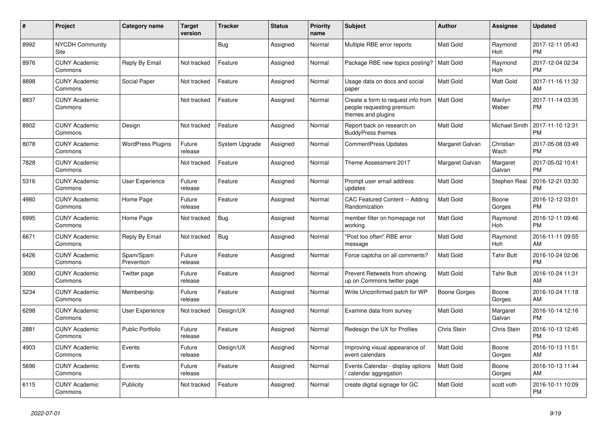| #    | Project                         | <b>Category name</b>     | <b>Target</b><br>version | <b>Tracker</b> | <b>Status</b> | <b>Priority</b><br>name | <b>Subject</b>                                                                        | <b>Author</b>      | Assignee              | <b>Updated</b>                |
|------|---------------------------------|--------------------------|--------------------------|----------------|---------------|-------------------------|---------------------------------------------------------------------------------------|--------------------|-----------------------|-------------------------------|
| 8992 | <b>NYCDH Community</b><br>Site  |                          |                          | Bug            | Assigned      | Normal                  | Multiple RBE error reports                                                            | <b>Matt Gold</b>   | Raymond<br><b>Hoh</b> | 2017-12-11 05:43<br><b>PM</b> |
| 8976 | <b>CUNY Academic</b><br>Commons | Reply By Email           | Not tracked              | Feature        | Assigned      | Normal                  | Package RBE new topics posting?                                                       | <b>Matt Gold</b>   | Raymond<br>Hoh        | 2017-12-04 02:34<br><b>PM</b> |
| 8898 | <b>CUNY Academic</b><br>Commons | Social Paper             | Not tracked              | Feature        | Assigned      | Normal                  | Usage data on docs and social<br>paper                                                | Matt Gold          | Matt Gold             | 2017-11-16 11:32<br>AM        |
| 8837 | <b>CUNY Academic</b><br>Commons |                          | Not tracked              | Feature        | Assigned      | Normal                  | Create a form to request info from<br>people requesting premium<br>themes and plugins | <b>Matt Gold</b>   | Marilyn<br>Weber      | 2017-11-14 03:35<br><b>PM</b> |
| 8902 | <b>CUNY Academic</b><br>Commons | Design                   | Not tracked              | Feature        | Assigned      | Normal                  | Report back on research on<br><b>BuddvPress themes</b>                                | Matt Gold          | Michael Smith         | 2017-11-10 12:31<br><b>PM</b> |
| 8078 | <b>CUNY Academic</b><br>Commons | <b>WordPress Plugins</b> | Future<br>release        | System Upgrade | Assigned      | Normal                  | <b>CommentPress Updates</b>                                                           | Margaret Galvan    | Christian<br>Wach     | 2017-05-08 03:49<br><b>PM</b> |
| 7828 | <b>CUNY Academic</b><br>Commons |                          | Not tracked              | Feature        | Assigned      | Normal                  | Theme Assessment 2017                                                                 | Margaret Galvan    | Margaret<br>Galvan    | 2017-05-02 10:41<br><b>PM</b> |
| 5316 | <b>CUNY Academic</b><br>Commons | User Experience          | Future<br>release        | Feature        | Assigned      | Normal                  | Prompt user email address<br>updates                                                  | Matt Gold          | Stephen Real          | 2016-12-21 03:30<br><b>PM</b> |
| 4980 | <b>CUNY Academic</b><br>Commons | Home Page                | Future<br>release        | Feature        | Assigned      | Normal                  | CAC Featured Content -- Adding<br>Randomization                                       | <b>Matt Gold</b>   | Boone<br>Gorges       | 2016-12-12 03:01<br>PM        |
| 6995 | <b>CUNY Academic</b><br>Commons | Home Page                | Not tracked              | <b>Bug</b>     | Assigned      | Normal                  | member filter on homepage not<br>working                                              | Matt Gold          | Raymond<br><b>Hoh</b> | 2016-12-11 09:46<br>PM        |
| 6671 | <b>CUNY Academic</b><br>Commons | Reply By Email           | Not tracked              | Bug            | Assigned      | Normal                  | "Post too often" RBE error<br>message                                                 | Matt Gold          | Raymond<br><b>Hoh</b> | 2016-11-11 09:55<br>AM        |
| 6426 | <b>CUNY Academic</b><br>Commons | Spam/Spam<br>Prevention  | Future<br>release        | Feature        | Assigned      | Normal                  | Force captcha on all comments?                                                        | <b>Matt Gold</b>   | <b>Tahir Butt</b>     | 2016-10-24 02:06<br><b>PM</b> |
| 3090 | <b>CUNY Academic</b><br>Commons | Twitter page             | Future<br>release        | Feature        | Assigned      | Normal                  | Prevent Retweets from showing<br>up on Commons twitter page                           | Matt Gold          | <b>Tahir Butt</b>     | 2016-10-24 11:31<br>AM        |
| 5234 | <b>CUNY Academic</b><br>Commons | Membership               | Future<br>release        | Feature        | Assigned      | Normal                  | Write Unconfirmed patch for WP                                                        | Boone Gorges       | Boone<br>Gorges       | 2016-10-24 11:18<br>AM        |
| 6298 | <b>CUNY Academic</b><br>Commons | User Experience          | Not tracked              | Design/UX      | Assigned      | Normal                  | Examine data from survey                                                              | Matt Gold          | Margaret<br>Galvan    | 2016-10-14 12:16<br>PM        |
| 2881 | <b>CUNY Academic</b><br>Commons | <b>Public Portfolio</b>  | Future<br>release        | Feature        | Assigned      | Normal                  | Redesign the UX for Profiles                                                          | <b>Chris Stein</b> | Chris Stein           | 2016-10-13 12:45<br>PM        |
| 4903 | <b>CUNY Academic</b><br>Commons | Events                   | Future<br>release        | Design/UX      | Assigned      | Normal                  | Improving visual appearance of<br>event calendars                                     | Matt Gold          | Boone<br>Gorges       | 2016-10-13 11:51<br>AM        |
| 5696 | <b>CUNY Academic</b><br>Commons | Events                   | Future<br>release        | Feature        | Assigned      | Normal                  | Events Calendar - display options<br>calendar aggregation                             | Matt Gold          | Boone<br>Gorges       | 2016-10-13 11:44<br>AM        |
| 6115 | <b>CUNY Academic</b><br>Commons | Publicity                | Not tracked              | Feature        | Assigned      | Normal                  | create digital signage for GC                                                         | Matt Gold          | scott voth            | 2016-10-11 10:09<br><b>PM</b> |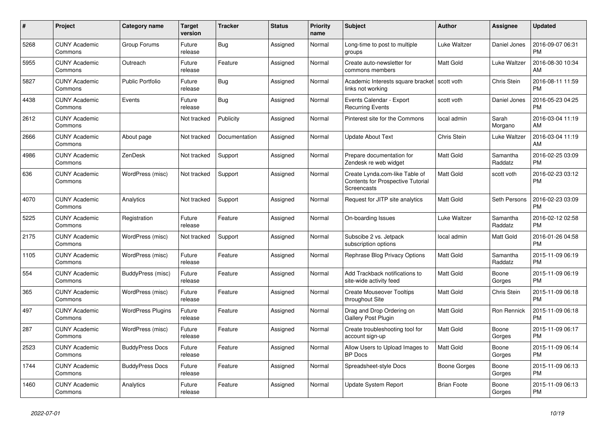| #    | <b>Project</b>                  | Category name            | Target<br>version | <b>Tracker</b> | <b>Status</b> | Priority<br>name | <b>Subject</b>                                                                            | <b>Author</b>      | Assignee            | <b>Updated</b>                |
|------|---------------------------------|--------------------------|-------------------|----------------|---------------|------------------|-------------------------------------------------------------------------------------------|--------------------|---------------------|-------------------------------|
| 5268 | <b>CUNY Academic</b><br>Commons | Group Forums             | Future<br>release | Bug            | Assigned      | Normal           | Long-time to post to multiple<br>groups                                                   | Luke Waltzer       | Daniel Jones        | 2016-09-07 06:31<br><b>PM</b> |
| 5955 | <b>CUNY Academic</b><br>Commons | Outreach                 | Future<br>release | Feature        | Assigned      | Normal           | Create auto-newsletter for<br>commons members                                             | Matt Gold          | Luke Waltzer        | 2016-08-30 10:34<br>AM.       |
| 5827 | <b>CUNY Academic</b><br>Commons | <b>Public Portfolio</b>  | Future<br>release | <b>Bug</b>     | Assigned      | Normal           | Academic Interests square bracket<br>links not working                                    | scott voth         | Chris Stein         | 2016-08-11 11:59<br><b>PM</b> |
| 4438 | <b>CUNY Academic</b><br>Commons | Events                   | Future<br>release | Bug            | Assigned      | Normal           | Events Calendar - Export<br><b>Recurring Events</b>                                       | scott voth         | Daniel Jones        | 2016-05-23 04:25<br><b>PM</b> |
| 2612 | <b>CUNY Academic</b><br>Commons |                          | Not tracked       | Publicity      | Assigned      | Normal           | Pinterest site for the Commons                                                            | local admin        | Sarah<br>Morgano    | 2016-03-04 11:19<br>AM        |
| 2666 | <b>CUNY Academic</b><br>Commons | About page               | Not tracked       | Documentation  | Assigned      | Normal           | <b>Update About Text</b>                                                                  | Chris Stein        | Luke Waltzer        | 2016-03-04 11:19<br><b>AM</b> |
| 4986 | <b>CUNY Academic</b><br>Commons | ZenDesk                  | Not tracked       | Support        | Assigned      | Normal           | Prepare documentation for<br>Zendesk re web widget                                        | <b>Matt Gold</b>   | Samantha<br>Raddatz | 2016-02-25 03:09<br><b>PM</b> |
| 636  | <b>CUNY Academic</b><br>Commons | WordPress (misc)         | Not tracked       | Support        | Assigned      | Normal           | Create Lynda.com-like Table of<br><b>Contents for Prospective Tutorial</b><br>Screencasts | <b>Matt Gold</b>   | scott voth          | 2016-02-23 03:12<br>PM        |
| 4070 | <b>CUNY Academic</b><br>Commons | Analytics                | Not tracked       | Support        | Assigned      | Normal           | Request for JITP site analytics                                                           | Matt Gold          | Seth Persons        | 2016-02-23 03:09<br><b>PM</b> |
| 5225 | <b>CUNY Academic</b><br>Commons | Registration             | Future<br>release | Feature        | Assigned      | Normal           | On-boarding Issues                                                                        | Luke Waltzer       | Samantha<br>Raddatz | 2016-02-12 02:58<br><b>PM</b> |
| 2175 | <b>CUNY Academic</b><br>Commons | WordPress (misc)         | Not tracked       | Support        | Assigned      | Normal           | Subscibe 2 vs. Jetpack<br>subscription options                                            | local admin        | Matt Gold           | 2016-01-26 04:58<br><b>PM</b> |
| 1105 | <b>CUNY Academic</b><br>Commons | WordPress (misc)         | Future<br>release | Feature        | Assigned      | Normal           | Rephrase Blog Privacy Options                                                             | Matt Gold          | Samantha<br>Raddatz | 2015-11-09 06:19<br><b>PM</b> |
| 554  | <b>CUNY Academic</b><br>Commons | BuddyPress (misc)        | Future<br>release | Feature        | Assigned      | Normal           | Add Trackback notifications to<br>site-wide activity feed                                 | <b>Matt Gold</b>   | Boone<br>Gorges     | 2015-11-09 06:19<br><b>PM</b> |
| 365  | <b>CUNY Academic</b><br>Commons | WordPress (misc)         | Future<br>release | Feature        | Assigned      | Normal           | <b>Create Mouseover Tooltips</b><br>throughout Site                                       | Matt Gold          | <b>Chris Stein</b>  | 2015-11-09 06:18<br><b>PM</b> |
| 497  | <b>CUNY Academic</b><br>Commons | <b>WordPress Plugins</b> | Future<br>release | Feature        | Assigned      | Normal           | Drag and Drop Ordering on<br>Gallery Post Plugin                                          | Matt Gold          | Ron Rennick         | 2015-11-09 06:18<br><b>PM</b> |
| 287  | <b>CUNY Academic</b><br>Commons | WordPress (misc)         | Future<br>release | Feature        | Assigned      | Normal           | Create troubleshooting tool for<br>account sign-up                                        | Matt Gold          | Boone<br>Gorges     | 2015-11-09 06:17<br><b>PM</b> |
| 2523 | <b>CUNY Academic</b><br>Commons | <b>BuddyPress Docs</b>   | Future<br>release | Feature        | Assigned      | Normal           | Allow Users to Upload Images to<br><b>BP</b> Docs                                         | <b>Matt Gold</b>   | Boone<br>Gorges     | 2015-11-09 06:14<br><b>PM</b> |
| 1744 | <b>CUNY Academic</b><br>Commons | <b>BuddyPress Docs</b>   | Future<br>release | Feature        | Assigned      | Normal           | Spreadsheet-style Docs                                                                    | Boone Gorges       | Boone<br>Gorges     | 2015-11-09 06:13<br><b>PM</b> |
| 1460 | <b>CUNY Academic</b><br>Commons | Analytics                | Future<br>release | Feature        | Assigned      | Normal           | <b>Update System Report</b>                                                               | <b>Brian Foote</b> | Boone<br>Gorges     | 2015-11-09 06:13<br><b>PM</b> |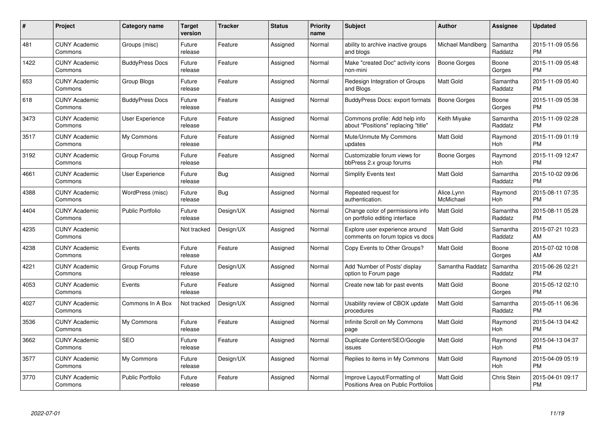| #    | Project                         | <b>Category name</b>    | Target<br>version | <b>Tracker</b> | <b>Status</b> | Priority<br>name | <b>Subject</b>                                                        | <b>Author</b>           | Assignee            | <b>Updated</b>                |
|------|---------------------------------|-------------------------|-------------------|----------------|---------------|------------------|-----------------------------------------------------------------------|-------------------------|---------------------|-------------------------------|
| 481  | <b>CUNY Academic</b><br>Commons | Groups (misc)           | Future<br>release | Feature        | Assigned      | Normal           | ability to archive inactive groups<br>and blogs                       | Michael Mandiberg       | Samantha<br>Raddatz | 2015-11-09 05:56<br><b>PM</b> |
| 1422 | <b>CUNY Academic</b><br>Commons | <b>BuddyPress Docs</b>  | Future<br>release | Feature        | Assigned      | Normal           | Make "created Doc" activity icons<br>non-mini                         | Boone Gorges            | Boone<br>Gorges     | 2015-11-09 05:48<br><b>PM</b> |
| 653  | <b>CUNY Academic</b><br>Commons | Group Blogs             | Future<br>release | Feature        | Assigned      | Normal           | Redesign Integration of Groups<br>and Blogs                           | Matt Gold               | Samantha<br>Raddatz | 2015-11-09 05:40<br><b>PM</b> |
| 618  | <b>CUNY Academic</b><br>Commons | <b>BuddyPress Docs</b>  | Future<br>release | Feature        | Assigned      | Normal           | BuddyPress Docs: export formats                                       | Boone Gorges            | Boone<br>Gorges     | 2015-11-09 05:38<br><b>PM</b> |
| 3473 | <b>CUNY Academic</b><br>Commons | User Experience         | Future<br>release | Feature        | Assigned      | Normal           | Commons profile: Add help info<br>about "Positions" replacing "title" | Keith Miyake            | Samantha<br>Raddatz | 2015-11-09 02:28<br><b>PM</b> |
| 3517 | <b>CUNY Academic</b><br>Commons | My Commons              | Future<br>release | Feature        | Assigned      | Normal           | Mute/Unmute My Commons<br>updates                                     | <b>Matt Gold</b>        | Raymond<br>Hoh      | 2015-11-09 01:19<br><b>PM</b> |
| 3192 | <b>CUNY Academic</b><br>Commons | Group Forums            | Future<br>release | Feature        | Assigned      | Normal           | Customizable forum views for<br>bbPress 2.x group forums              | Boone Gorges            | Raymond<br>Hoh      | 2015-11-09 12:47<br><b>PM</b> |
| 4661 | <b>CUNY Academic</b><br>Commons | <b>User Experience</b>  | Future<br>release | Bug            | Assigned      | Normal           | <b>Simplify Events text</b>                                           | Matt Gold               | Samantha<br>Raddatz | 2015-10-02 09:06<br><b>PM</b> |
| 4388 | <b>CUNY Academic</b><br>Commons | WordPress (misc)        | Future<br>release | Bug            | Assigned      | Normal           | Repeated request for<br>authentication.                               | Alice.Lynn<br>McMichael | Raymond<br>Hoh      | 2015-08-11 07:35<br><b>PM</b> |
| 4404 | <b>CUNY Academic</b><br>Commons | <b>Public Portfolio</b> | Future<br>release | Design/UX      | Assigned      | Normal           | Change color of permissions info<br>on portfolio editing interface    | <b>Matt Gold</b>        | Samantha<br>Raddatz | 2015-08-11 05:28<br>PM        |
| 4235 | <b>CUNY Academic</b><br>Commons |                         | Not tracked       | Design/UX      | Assigned      | Normal           | Explore user experience around<br>comments on forum topics vs docs    | Matt Gold               | Samantha<br>Raddatz | 2015-07-21 10:23<br>AM        |
| 4238 | <b>CUNY Academic</b><br>Commons | Events                  | Future<br>release | Feature        | Assigned      | Normal           | Copy Events to Other Groups?                                          | Matt Gold               | Boone<br>Gorges     | 2015-07-02 10:08<br>AM        |
| 4221 | <b>CUNY Academic</b><br>Commons | Group Forums            | Future<br>release | Design/UX      | Assigned      | Normal           | Add 'Number of Posts' display<br>option to Forum page                 | Samantha Raddatz        | Samantha<br>Raddatz | 2015-06-26 02:21<br>PM.       |
| 4053 | <b>CUNY Academic</b><br>Commons | Events                  | Future<br>release | Feature        | Assigned      | Normal           | Create new tab for past events                                        | Matt Gold               | Boone<br>Gorges     | 2015-05-12 02:10<br>PM.       |
| 4027 | <b>CUNY Academic</b><br>Commons | Commons In A Box        | Not tracked       | Design/UX      | Assigned      | Normal           | Usability review of CBOX update<br>procedures                         | Matt Gold               | Samantha<br>Raddatz | 2015-05-11 06:36<br><b>PM</b> |
| 3536 | <b>CUNY Academic</b><br>Commons | My Commons              | Future<br>release | Feature        | Assigned      | Normal           | Infinite Scroll on My Commons<br>page                                 | Matt Gold               | Raymond<br>Hoh      | 2015-04-13 04:42<br><b>PM</b> |
| 3662 | <b>CUNY Academic</b><br>Commons | <b>SEO</b>              | Future<br>release | Feature        | Assigned      | Normal           | Duplicate Content/SEO/Google<br>issues                                | Matt Gold               | Raymond<br>Hoh      | 2015-04-13 04:37<br><b>PM</b> |
| 3577 | <b>CUNY Academic</b><br>Commons | My Commons              | Future<br>release | Design/UX      | Assigned      | Normal           | Replies to items in My Commons                                        | Matt Gold               | Raymond<br>Hoh      | 2015-04-09 05:19<br><b>PM</b> |
| 3770 | <b>CUNY Academic</b><br>Commons | <b>Public Portfolio</b> | Future<br>release | Feature        | Assigned      | Normal           | Improve Layout/Formatting of<br>Positions Area on Public Portfolios   | Matt Gold               | <b>Chris Stein</b>  | 2015-04-01 09:17<br>PM        |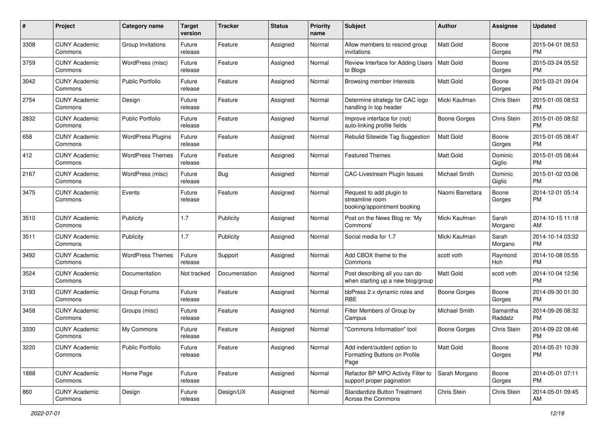| #    | Project                         | <b>Category name</b>     | <b>Target</b><br>version | <b>Tracker</b> | <b>Status</b> | Priority<br>name | <b>Subject</b>                                                             | Author              | <b>Assignee</b>     | <b>Updated</b>                |
|------|---------------------------------|--------------------------|--------------------------|----------------|---------------|------------------|----------------------------------------------------------------------------|---------------------|---------------------|-------------------------------|
| 3308 | <b>CUNY Academic</b><br>Commons | Group Invitations        | Future<br>release        | Feature        | Assigned      | Normal           | Allow members to rescind group<br>invitations                              | <b>Matt Gold</b>    | Boone<br>Gorges     | 2015-04-01 08:53<br><b>PM</b> |
| 3759 | <b>CUNY Academic</b><br>Commons | WordPress (misc)         | Future<br>release        | Feature        | Assigned      | Normal           | Review Interface for Adding Users<br>to Blogs                              | <b>Matt Gold</b>    | Boone<br>Gorges     | 2015-03-24 05:52<br><b>PM</b> |
| 3042 | <b>CUNY Academic</b><br>Commons | <b>Public Portfolio</b>  | Future<br>release        | Feature        | Assigned      | Normal           | Browsing member interests                                                  | Matt Gold           | Boone<br>Gorges     | 2015-03-21 09:04<br><b>PM</b> |
| 2754 | <b>CUNY Academic</b><br>Commons | Design                   | Future<br>release        | Feature        | Assigned      | Normal           | Determine strategy for CAC logo<br>handling in top header                  | Micki Kaufman       | Chris Stein         | 2015-01-05 08:53<br><b>PM</b> |
| 2832 | <b>CUNY Academic</b><br>Commons | <b>Public Portfolio</b>  | Future<br>release        | Feature        | Assigned      | Normal           | Improve interface for (not)<br>auto-linking profile fields                 | <b>Boone Gorges</b> | Chris Stein         | 2015-01-05 08:52<br><b>PM</b> |
| 658  | <b>CUNY Academic</b><br>Commons | <b>WordPress Plugins</b> | Future<br>release        | Feature        | Assigned      | Normal           | Rebulid Sitewide Tag Suggestion                                            | <b>Matt Gold</b>    | Boone<br>Gorges     | 2015-01-05 08:47<br><b>PM</b> |
| 412  | <b>CUNY Academic</b><br>Commons | <b>WordPress Themes</b>  | Future<br>release        | Feature        | Assigned      | Normal           | Featured Themes                                                            | Matt Gold           | Dominic<br>Giglio   | 2015-01-05 08:44<br><b>PM</b> |
| 2167 | <b>CUNY Academic</b><br>Commons | WordPress (misc)         | Future<br>release        | Bug            | Assigned      | Normal           | CAC-Livestream Plugin Issues                                               | Michael Smith       | Dominic<br>Giglio   | 2015-01-02 03:06<br><b>PM</b> |
| 3475 | <b>CUNY Academic</b><br>Commons | Events                   | Future<br>release        | Feature        | Assigned      | Normal           | Request to add plugin to<br>streamline room<br>booking/appointment booking | Naomi Barrettara    | Boone<br>Gorges     | 2014-12-01 05:14<br><b>PM</b> |
| 3510 | <b>CUNY Academic</b><br>Commons | Publicity                | 1.7                      | Publicity      | Assigned      | Normal           | Post on the News Blog re: 'My<br>Commons'                                  | Micki Kaufman       | Sarah<br>Morgano    | 2014-10-15 11:18<br>AM        |
| 3511 | <b>CUNY Academic</b><br>Commons | Publicity                | 1.7                      | Publicity      | Assigned      | Normal           | Social media for 1.7                                                       | Micki Kaufman       | Sarah<br>Morgano    | 2014-10-14 03:32<br><b>PM</b> |
| 3492 | <b>CUNY Academic</b><br>Commons | <b>WordPress Themes</b>  | Future<br>release        | Support        | Assigned      | Normal           | Add CBOX theme to the<br>Commons                                           | scott voth          | Raymond<br>Hoh      | 2014-10-08 05:55<br><b>PM</b> |
| 3524 | <b>CUNY Academic</b><br>Commons | Documentation            | Not tracked              | Documentation  | Assigned      | Normal           | Post describing all you can do<br>when starting up a new blog/group        | <b>Matt Gold</b>    | scott voth          | 2014-10-04 12:56<br><b>PM</b> |
| 3193 | <b>CUNY Academic</b><br>Commons | Group Forums             | Future<br>release        | Feature        | Assigned      | Normal           | bbPress 2.x dynamic roles and<br><b>RBE</b>                                | <b>Boone Gorges</b> | Boone<br>Gorges     | 2014-09-30 01:30<br><b>PM</b> |
| 3458 | <b>CUNY Academic</b><br>Commons | Groups (misc)            | Future<br>release        | Feature        | Assigned      | Normal           | Filter Members of Group by<br>Campus                                       | Michael Smith       | Samantha<br>Raddatz | 2014-09-26 08:32<br><b>PM</b> |
| 3330 | <b>CUNY Academic</b><br>Commons | My Commons               | Future<br>release        | Feature        | Assigned      | Normal           | "Commons Information" tool                                                 | <b>Boone Gorges</b> | Chris Stein         | 2014-09-22 08:46<br><b>PM</b> |
| 3220 | <b>CUNY Academic</b><br>Commons | <b>Public Portfolio</b>  | Future<br>release        | Feature        | Assigned      | Normal           | Add indent/outdent option to<br>Formatting Buttons on Profile<br>Page      | <b>Matt Gold</b>    | Boone<br>Gorges     | 2014-05-21 10:39<br><b>PM</b> |
| 1888 | <b>CUNY Academic</b><br>Commons | Home Page                | Future<br>release        | Feature        | Assigned      | Normal           | Refactor BP MPO Activity Filter to<br>support proper pagination            | Sarah Morgano       | Boone<br>Gorges     | 2014-05-01 07:11<br><b>PM</b> |
| 860  | <b>CUNY Academic</b><br>Commons | Design                   | Future<br>release        | Design/UX      | Assigned      | Normal           | <b>Standardize Button Treatment</b><br>Across the Commons                  | Chris Stein         | Chris Stein         | 2014-05-01 09:45<br>AM        |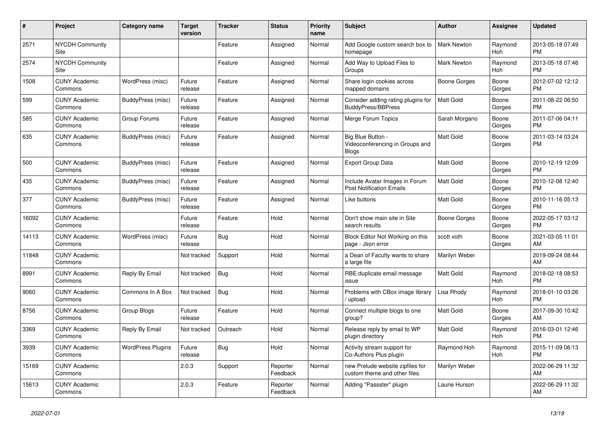| #     | Project                         | <b>Category name</b>     | <b>Target</b><br>version | <b>Tracker</b> | <b>Status</b>        | <b>Priority</b><br>name | <b>Subject</b>                                                    | <b>Author</b>      | <b>Assignee</b> | <b>Updated</b>                |
|-------|---------------------------------|--------------------------|--------------------------|----------------|----------------------|-------------------------|-------------------------------------------------------------------|--------------------|-----------------|-------------------------------|
| 2571  | <b>NYCDH Community</b><br>Site  |                          |                          | Feature        | Assigned             | Normal                  | Add Google custom search box to<br>homepage                       | <b>Mark Newton</b> | Raymond<br>Hoh  | 2013-05-18 07:49<br><b>PM</b> |
| 2574  | <b>NYCDH Community</b><br>Site  |                          |                          | Feature        | Assigned             | Normal                  | Add Way to Upload Files to<br>Groups                              | <b>Mark Newton</b> | Raymond<br>Hoh  | 2013-05-18 07:46<br><b>PM</b> |
| 1508  | <b>CUNY Academic</b><br>Commons | WordPress (misc)         | Future<br>release        | Feature        | Assigned             | Normal                  | Share login cookies across<br>mapped domains                      | Boone Gorges       | Boone<br>Gorges | 2012-07-02 12:12<br><b>PM</b> |
| 599   | <b>CUNY Academic</b><br>Commons | BuddyPress (misc)        | Future<br>release        | Feature        | Assigned             | Normal                  | Consider adding rating plugins for<br><b>BuddyPress/BBPress</b>   | <b>Matt Gold</b>   | Boone<br>Gorges | 2011-08-22 06:50<br><b>PM</b> |
| 585   | <b>CUNY Academic</b><br>Commons | Group Forums             | Future<br>release        | Feature        | Assigned             | Normal                  | Merge Forum Topics                                                | Sarah Morgano      | Boone<br>Gorges | 2011-07-06 04:11<br><b>PM</b> |
| 635   | <b>CUNY Academic</b><br>Commons | BuddyPress (misc)        | Future<br>release        | Feature        | Assigned             | Normal                  | Big Blue Button -<br>Videoconferencing in Groups and<br>Blogs     | <b>Matt Gold</b>   | Boone<br>Gorges | 2011-03-14 03:24<br><b>PM</b> |
| 500   | <b>CUNY Academic</b><br>Commons | BuddyPress (misc)        | Future<br>release        | Feature        | Assigned             | Normal                  | <b>Export Group Data</b>                                          | <b>Matt Gold</b>   | Boone<br>Gorges | 2010-12-19 12:09<br><b>PM</b> |
| 435   | <b>CUNY Academic</b><br>Commons | BuddyPress (misc)        | Future<br>release        | Feature        | Assigned             | Normal                  | Include Avatar Images in Forum<br><b>Post Notification Emails</b> | <b>Matt Gold</b>   | Boone<br>Gorges | 2010-12-08 12:40<br><b>PM</b> |
| 377   | <b>CUNY Academic</b><br>Commons | BuddyPress (misc)        | Future<br>release        | Feature        | Assigned             | Normal                  | Like buttons                                                      | Matt Gold          | Boone<br>Gorges | 2010-11-16 05:13<br><b>PM</b> |
| 16092 | <b>CUNY Academic</b><br>Commons |                          | Future<br>release        | Feature        | Hold                 | Normal                  | Don't show main site in Site<br>search results                    | Boone Gorges       | Boone<br>Gorges | 2022-05-17 03:12<br><b>PM</b> |
| 14113 | <b>CUNY Academic</b><br>Commons | WordPress (misc)         | Future<br>release        | Bug            | Hold                 | Normal                  | Block Editor Not Working on this<br>page - Json error             | scott voth         | Boone<br>Gorges | 2021-03-05 11:01<br>AM        |
| 11848 | <b>CUNY Academic</b><br>Commons |                          | Not tracked              | Support        | Hold                 | Normal                  | a Dean of Faculty wants to share<br>a large file                  | Marilyn Weber      |                 | 2019-09-24 08:44<br>AM        |
| 8991  | <b>CUNY Academic</b><br>Commons | Reply By Email           | Not tracked              | Bug            | Hold                 | Normal                  | RBE duplicate email message<br>issue                              | <b>Matt Gold</b>   | Raymond<br>Hoh  | 2018-02-18 08:53<br><b>PM</b> |
| 9060  | <b>CUNY Academic</b><br>Commons | Commons In A Box         | Not tracked              | <b>Bug</b>     | Hold                 | Normal                  | Problems with CBox image library<br>upload                        | Lisa Rhody         | Raymond<br>Hoh  | 2018-01-10 03:26<br><b>PM</b> |
| 8756  | <b>CUNY Academic</b><br>Commons | Group Blogs              | Future<br>release        | Feature        | Hold                 | Normal                  | Connect multiple blogs to one<br>group?                           | <b>Matt Gold</b>   | Boone<br>Gorges | 2017-09-30 10:42<br>AM        |
| 3369  | <b>CUNY Academic</b><br>Commons | Reply By Email           | Not tracked              | Outreach       | Hold                 | Normal                  | Release reply by email to WP<br>plugin directory                  | <b>Matt Gold</b>   | Raymond<br>Hoh  | 2016-03-01 12:46<br><b>PM</b> |
| 3939  | <b>CUNY Academic</b><br>Commons | <b>WordPress Plugins</b> | Future<br>release        | Bug            | Hold                 | Normal                  | Activity stream support for<br>Co-Authors Plus plugin             | Raymond Hoh        | Raymond<br>Hoh  | 2015-11-09 06:13<br><b>PM</b> |
| 15169 | <b>CUNY Academic</b><br>Commons |                          | 2.0.3                    | Support        | Reporter<br>Feedback | Normal                  | new Prelude website zipfiles for<br>custom theme and other files. | Marilyn Weber      |                 | 2022-06-29 11:32<br>AM        |
| 15613 | <b>CUNY Academic</b><br>Commons |                          | 2.0.3                    | Feature        | Reporter<br>Feedback | Normal                  | Adding "Passster" plugin                                          | Laurie Hurson      |                 | 2022-06-29 11:32<br>AM        |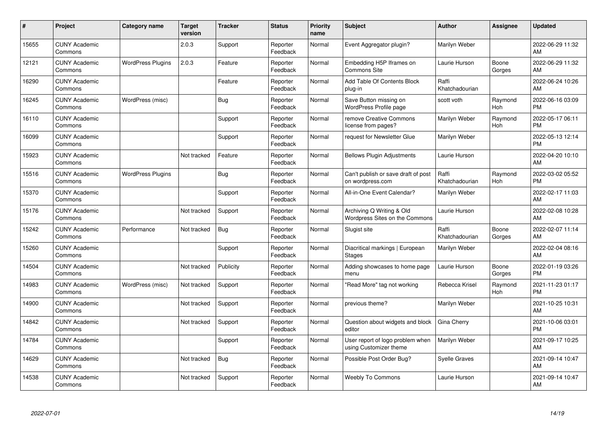| #     | Project                         | Category name            | <b>Target</b><br>version | <b>Tracker</b> | <b>Status</b>        | Priority<br>name | <b>Subject</b>                                              | <b>Author</b>           | Assignee        | <b>Updated</b>                |
|-------|---------------------------------|--------------------------|--------------------------|----------------|----------------------|------------------|-------------------------------------------------------------|-------------------------|-----------------|-------------------------------|
| 15655 | <b>CUNY Academic</b><br>Commons |                          | 2.0.3                    | Support        | Reporter<br>Feedback | Normal           | Event Aggregator plugin?                                    | Marilyn Weber           |                 | 2022-06-29 11:32<br>AM        |
| 12121 | <b>CUNY Academic</b><br>Commons | <b>WordPress Plugins</b> | 2.0.3                    | Feature        | Reporter<br>Feedback | Normal           | Embedding H5P Iframes on<br><b>Commons Site</b>             | Laurie Hurson           | Boone<br>Gorges | 2022-06-29 11:32<br>AM        |
| 16290 | <b>CUNY Academic</b><br>Commons |                          |                          | Feature        | Reporter<br>Feedback | Normal           | Add Table Of Contents Block<br>plug-in                      | Raffi<br>Khatchadourian |                 | 2022-06-24 10:26<br>AM        |
| 16245 | <b>CUNY Academic</b><br>Commons | WordPress (misc)         |                          | Bug            | Reporter<br>Feedback | Normal           | Save Button missing on<br>WordPress Profile page            | scott voth              | Raymond<br>Hoh  | 2022-06-16 03:09<br><b>PM</b> |
| 16110 | <b>CUNY Academic</b><br>Commons |                          |                          | Support        | Reporter<br>Feedback | Normal           | remove Creative Commons<br>license from pages?              | Marilyn Weber           | Raymond<br>Hoh  | 2022-05-17 06:11<br><b>PM</b> |
| 16099 | <b>CUNY Academic</b><br>Commons |                          |                          | Support        | Reporter<br>Feedback | Normal           | request for Newsletter Glue                                 | Marilyn Weber           |                 | 2022-05-13 12:14<br><b>PM</b> |
| 15923 | <b>CUNY Academic</b><br>Commons |                          | Not tracked              | Feature        | Reporter<br>Feedback | Normal           | <b>Bellows Plugin Adjustments</b>                           | Laurie Hurson           |                 | 2022-04-20 10:10<br>AM        |
| 15516 | <b>CUNY Academic</b><br>Commons | <b>WordPress Plugins</b> |                          | Bug            | Reporter<br>Feedback | Normal           | Can't publish or save draft of post<br>on wordpress.com     | Raffi<br>Khatchadourian | Raymond<br>Hoh  | 2022-03-02 05:52<br><b>PM</b> |
| 15370 | <b>CUNY Academic</b><br>Commons |                          |                          | Support        | Reporter<br>Feedback | Normal           | All-in-One Event Calendar?                                  | Marilyn Weber           |                 | 2022-02-17 11:03<br>AM        |
| 15176 | <b>CUNY Academic</b><br>Commons |                          | Not tracked              | Support        | Reporter<br>Feedback | Normal           | Archiving Q Writing & Old<br>Wordpress Sites on the Commons | Laurie Hurson           |                 | 2022-02-08 10:28<br>AM        |
| 15242 | <b>CUNY Academic</b><br>Commons | Performance              | Not tracked              | Bug            | Reporter<br>Feedback | Normal           | Slugist site                                                | Raffi<br>Khatchadourian | Boone<br>Gorges | 2022-02-07 11:14<br>AM        |
| 15260 | <b>CUNY Academic</b><br>Commons |                          |                          | Support        | Reporter<br>Feedback | Normal           | Diacritical markings   European<br><b>Stages</b>            | Marilyn Weber           |                 | 2022-02-04 08:16<br>AM        |
| 14504 | <b>CUNY Academic</b><br>Commons |                          | Not tracked              | Publicity      | Reporter<br>Feedback | Normal           | Adding showcases to home page<br>menu                       | Laurie Hurson           | Boone<br>Gorges | 2022-01-19 03:26<br><b>PM</b> |
| 14983 | <b>CUNY Academic</b><br>Commons | WordPress (misc)         | Not tracked              | Support        | Reporter<br>Feedback | Normal           | 'Read More" tag not working                                 | Rebecca Krisel          | Raymond<br>Hoh  | 2021-11-23 01:17<br><b>PM</b> |
| 14900 | <b>CUNY Academic</b><br>Commons |                          | Not tracked              | Support        | Reporter<br>Feedback | Normal           | previous theme?                                             | Marilyn Weber           |                 | 2021-10-25 10:31<br>AM        |
| 14842 | <b>CUNY Academic</b><br>Commons |                          | Not tracked              | Support        | Reporter<br>Feedback | Normal           | Question about widgets and block<br>editor                  | Gina Cherry             |                 | 2021-10-06 03:01<br><b>PM</b> |
| 14784 | <b>CUNY Academic</b><br>Commons |                          |                          | Support        | Reporter<br>Feedback | Normal           | User report of logo problem when<br>using Customizer theme  | Marilyn Weber           |                 | 2021-09-17 10:25<br>AM        |
| 14629 | <b>CUNY Academic</b><br>Commons |                          | Not tracked              | Bug            | Reporter<br>Feedback | Normal           | Possible Post Order Bug?                                    | <b>Syelle Graves</b>    |                 | 2021-09-14 10:47<br>AM        |
| 14538 | <b>CUNY Academic</b><br>Commons |                          | Not tracked              | Support        | Reporter<br>Feedback | Normal           | <b>Weebly To Commons</b>                                    | Laurie Hurson           |                 | 2021-09-14 10:47<br>AM        |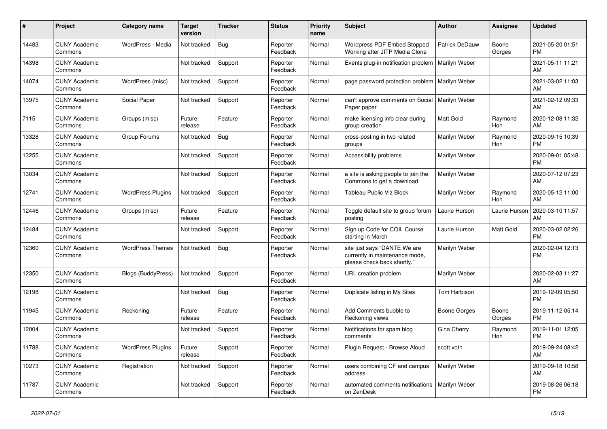| #     | <b>Project</b>                  | Category name            | Target<br>version | <b>Tracker</b> | <b>Status</b>        | <b>Priority</b><br>name | <b>Subject</b>                                                                                | <b>Author</b>      | Assignee        | <b>Updated</b>                |
|-------|---------------------------------|--------------------------|-------------------|----------------|----------------------|-------------------------|-----------------------------------------------------------------------------------------------|--------------------|-----------------|-------------------------------|
| 14483 | <b>CUNY Academic</b><br>Commons | WordPress - Media        | Not tracked       | <b>Bug</b>     | Reporter<br>Feedback | Normal                  | Wordpress PDF Embed Stopped<br>Working after JITP Media Clone                                 | Patrick DeDauw     | Boone<br>Gorges | 2021-05-20 01:51<br><b>PM</b> |
| 14398 | <b>CUNY Academic</b><br>Commons |                          | Not tracked       | Support        | Reporter<br>Feedback | Normal                  | Events plug-in notification problem                                                           | Marilyn Weber      |                 | 2021-05-11 11:21<br>AM.       |
| 14074 | <b>CUNY Academic</b><br>Commons | WordPress (misc)         | Not tracked       | Support        | Reporter<br>Feedback | Normal                  | page password protection problem                                                              | Marilyn Weber      |                 | 2021-03-02 11:03<br>AM        |
| 13975 | <b>CUNY Academic</b><br>Commons | Social Paper             | Not tracked       | Support        | Reporter<br>Feedback | Normal                  | can't approve comments on Social<br>Paper paper                                               | Marilyn Weber      |                 | 2021-02-12 09:33<br><b>AM</b> |
| 7115  | <b>CUNY Academic</b><br>Commons | Groups (misc)            | Future<br>release | Feature        | Reporter<br>Feedback | Normal                  | make licensing info clear during<br>group creation                                            | Matt Gold          | Raymond<br>Hoh  | 2020-12-08 11:32<br>AM        |
| 13328 | <b>CUNY Academic</b><br>Commons | Group Forums             | Not tracked       | Bug            | Reporter<br>Feedback | Normal                  | cross-posting in two related<br>groups                                                        | Marilyn Weber      | Raymond<br>Hoh  | 2020-09-15 10:39<br><b>PM</b> |
| 13255 | <b>CUNY Academic</b><br>Commons |                          | Not tracked       | Support        | Reporter<br>Feedback | Normal                  | Accessibility problems                                                                        | Marilyn Weber      |                 | 2020-09-01 05:48<br><b>PM</b> |
| 13034 | <b>CUNY Academic</b><br>Commons |                          | Not tracked       | Support        | Reporter<br>Feedback | Normal                  | a site is asking people to join the<br>Commons to get a download                              | Marilyn Weber      |                 | 2020-07-12 07:23<br>AM.       |
| 12741 | <b>CUNY Academic</b><br>Commons | <b>WordPress Plugins</b> | Not tracked       | Support        | Reporter<br>Feedback | Normal                  | Tableau Public Viz Block                                                                      | Marilyn Weber      | Raymond<br>Hoh  | 2020-05-12 11:00<br>AM        |
| 12446 | <b>CUNY Academic</b><br>Commons | Groups (misc)            | Future<br>release | Feature        | Reporter<br>Feedback | Normal                  | Toggle default site to group forum<br>postina                                                 | Laurie Hurson      | Laurie Hurson   | 2020-03-10 11:57<br>AM        |
| 12484 | <b>CUNY Academic</b><br>Commons |                          | Not tracked       | Support        | Reporter<br>Feedback | Normal                  | Sign up Code for COIL Course<br>starting in March                                             | Laurie Hurson      | Matt Gold       | 2020-03-02 02:26<br><b>PM</b> |
| 12360 | <b>CUNY Academic</b><br>Commons | <b>WordPress Themes</b>  | Not tracked       | <b>Bug</b>     | Reporter<br>Feedback | Normal                  | site just says "DANTE We are<br>currently in maintenance mode,<br>please check back shortly." | Marilyn Weber      |                 | 2020-02-04 12:13<br><b>PM</b> |
| 12350 | <b>CUNY Academic</b><br>Commons | Blogs (BuddyPress)       | Not tracked       | Support        | Reporter<br>Feedback | Normal                  | URL creation problem                                                                          | Marilyn Weber      |                 | 2020-02-03 11:27<br>AM        |
| 12198 | <b>CUNY Academic</b><br>Commons |                          | Not tracked       | Bug            | Reporter<br>Feedback | Normal                  | Duplicate listing in My Sites                                                                 | Tom Harbison       |                 | 2019-12-09 05:50<br><b>PM</b> |
| 11945 | <b>CUNY Academic</b><br>Commons | Reckoning                | Future<br>release | Feature        | Reporter<br>Feedback | Normal                  | Add Comments bubble to<br>Reckoning views                                                     | Boone Gorges       | Boone<br>Gorges | 2019-11-12 05:14<br><b>PM</b> |
| 12004 | <b>CUNY Academic</b><br>Commons |                          | Not tracked       | Support        | Reporter<br>Feedback | Normal                  | Notifications for spam blog<br>comments                                                       | <b>Gina Cherry</b> | Raymond<br>Hoh  | 2019-11-01 12:05<br><b>PM</b> |
| 11788 | <b>CUNY Academic</b><br>Commons | <b>WordPress Plugins</b> | Future<br>release | Support        | Reporter<br>Feedback | Normal                  | Plugin Request - Browse Aloud                                                                 | scott voth         |                 | 2019-09-24 08:42<br>AM        |
| 10273 | <b>CUNY Academic</b><br>Commons | Registration             | Not tracked       | Support        | Reporter<br>Feedback | Normal                  | users combining CF and campus<br>address                                                      | Marilyn Weber      |                 | 2019-09-18 10:58<br>AM        |
| 11787 | <b>CUNY Academic</b><br>Commons |                          | Not tracked       | Support        | Reporter<br>Feedback | Normal                  | automated comments notifications<br>on ZenDesk                                                | Marilyn Weber      |                 | 2019-08-26 06:18<br><b>PM</b> |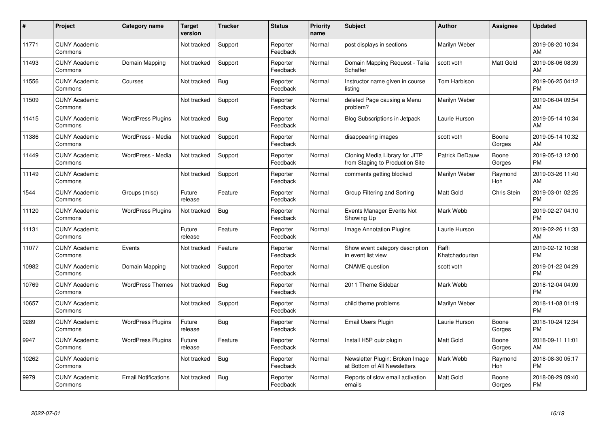| #     | Project                         | Category name              | <b>Target</b><br>version | <b>Tracker</b> | <b>Status</b>        | <b>Priority</b><br>name | <b>Subject</b>                                                    | <b>Author</b>           | Assignee           | <b>Updated</b>                |
|-------|---------------------------------|----------------------------|--------------------------|----------------|----------------------|-------------------------|-------------------------------------------------------------------|-------------------------|--------------------|-------------------------------|
| 11771 | <b>CUNY Academic</b><br>Commons |                            | Not tracked              | Support        | Reporter<br>Feedback | Normal                  | post displays in sections                                         | Marilyn Weber           |                    | 2019-08-20 10:34<br>AM        |
| 11493 | <b>CUNY Academic</b><br>Commons | Domain Mapping             | Not tracked              | Support        | Reporter<br>Feedback | Normal                  | Domain Mapping Request - Talia<br>Schaffer                        | scott voth              | Matt Gold          | 2019-08-06 08:39<br>AM        |
| 11556 | <b>CUNY Academic</b><br>Commons | Courses                    | Not tracked              | <b>Bug</b>     | Reporter<br>Feedback | Normal                  | Instructor name given in course<br>listing                        | Tom Harbison            |                    | 2019-06-25 04:12<br><b>PM</b> |
| 11509 | <b>CUNY Academic</b><br>Commons |                            | Not tracked              | Support        | Reporter<br>Feedback | Normal                  | deleted Page causing a Menu<br>problem?                           | Marilyn Weber           |                    | 2019-06-04 09:54<br>AM        |
| 11415 | <b>CUNY Academic</b><br>Commons | <b>WordPress Plugins</b>   | Not tracked              | <b>Bug</b>     | Reporter<br>Feedback | Normal                  | Blog Subscriptions in Jetpack                                     | Laurie Hurson           |                    | 2019-05-14 10:34<br>AM        |
| 11386 | <b>CUNY Academic</b><br>Commons | WordPress - Media          | Not tracked              | Support        | Reporter<br>Feedback | Normal                  | disappearing images                                               | scott voth              | Boone<br>Gorges    | 2019-05-14 10:32<br>AM        |
| 11449 | <b>CUNY Academic</b><br>Commons | WordPress - Media          | Not tracked              | Support        | Reporter<br>Feedback | Normal                  | Cloning Media Library for JITP<br>from Staging to Production Site | Patrick DeDauw          | Boone<br>Gorges    | 2019-05-13 12:00<br><b>PM</b> |
| 11149 | <b>CUNY Academic</b><br>Commons |                            | Not tracked              | Support        | Reporter<br>Feedback | Normal                  | comments getting blocked                                          | Marilyn Weber           | Raymond<br>Hoh     | 2019-03-26 11:40<br>AM        |
| 1544  | <b>CUNY Academic</b><br>Commons | Groups (misc)              | Future<br>release        | Feature        | Reporter<br>Feedback | Normal                  | Group Filtering and Sorting                                       | <b>Matt Gold</b>        | <b>Chris Stein</b> | 2019-03-01 02:25<br><b>PM</b> |
| 11120 | <b>CUNY Academic</b><br>Commons | <b>WordPress Plugins</b>   | Not tracked              | Bug            | Reporter<br>Feedback | Normal                  | Events Manager Events Not<br>Showing Up                           | Mark Webb               |                    | 2019-02-27 04:10<br><b>PM</b> |
| 11131 | <b>CUNY Academic</b><br>Commons |                            | Future<br>release        | Feature        | Reporter<br>Feedback | Normal                  | <b>Image Annotation Plugins</b>                                   | Laurie Hurson           |                    | 2019-02-26 11:33<br>AM        |
| 11077 | <b>CUNY Academic</b><br>Commons | Events                     | Not tracked              | Feature        | Reporter<br>Feedback | Normal                  | Show event category description<br>in event list view             | Raffi<br>Khatchadourian |                    | 2019-02-12 10:38<br><b>PM</b> |
| 10982 | <b>CUNY Academic</b><br>Commons | Domain Mapping             | Not tracked              | Support        | Reporter<br>Feedback | Normal                  | <b>CNAME</b> question                                             | scott voth              |                    | 2019-01-22 04:29<br><b>PM</b> |
| 10769 | <b>CUNY Academic</b><br>Commons | <b>WordPress Themes</b>    | Not tracked              | Bug            | Reporter<br>Feedback | Normal                  | 2011 Theme Sidebar                                                | Mark Webb               |                    | 2018-12-04 04:09<br><b>PM</b> |
| 10657 | <b>CUNY Academic</b><br>Commons |                            | Not tracked              | Support        | Reporter<br>Feedback | Normal                  | child theme problems                                              | Marilyn Weber           |                    | 2018-11-08 01:19<br><b>PM</b> |
| 9289  | <b>CUNY Academic</b><br>Commons | <b>WordPress Plugins</b>   | Future<br>release        | Bug            | Reporter<br>Feedback | Normal                  | Email Users Plugin                                                | Laurie Hurson           | Boone<br>Gorges    | 2018-10-24 12:34<br><b>PM</b> |
| 9947  | <b>CUNY Academic</b><br>Commons | <b>WordPress Plugins</b>   | Future<br>release        | Feature        | Reporter<br>Feedback | Normal                  | Install H5P quiz plugin                                           | Matt Gold               | Boone<br>Gorges    | 2018-09-11 11:01<br>AM        |
| 10262 | <b>CUNY Academic</b><br>Commons |                            | Not tracked              | Bug            | Reporter<br>Feedback | Normal                  | Newsletter Plugin: Broken Image<br>at Bottom of All Newsletters   | Mark Webb               | Raymond<br>Hoh     | 2018-08-30 05:17<br><b>PM</b> |
| 9979  | <b>CUNY Academic</b><br>Commons | <b>Email Notifications</b> | Not tracked              | Bug            | Reporter<br>Feedback | Normal                  | Reports of slow email activation<br>emails                        | <b>Matt Gold</b>        | Boone<br>Gorges    | 2018-08-29 09:40<br><b>PM</b> |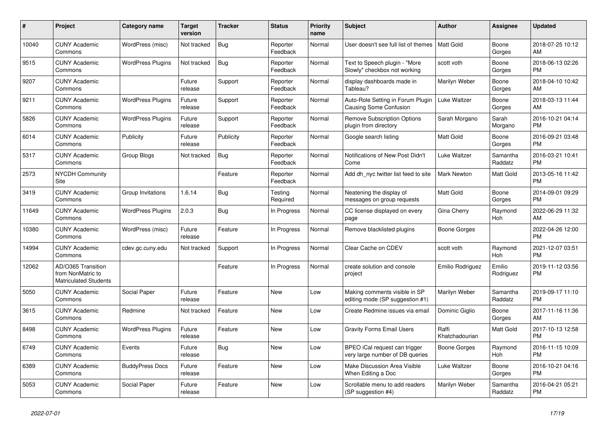| #     | Project                                                                 | <b>Category name</b>     | Target<br>version | <b>Tracker</b> | <b>Status</b>        | <b>Priority</b><br>name | <b>Subject</b>                                                   | <b>Author</b>           | <b>Assignee</b>     | <b>Updated</b>                |
|-------|-------------------------------------------------------------------------|--------------------------|-------------------|----------------|----------------------|-------------------------|------------------------------------------------------------------|-------------------------|---------------------|-------------------------------|
| 10040 | <b>CUNY Academic</b><br>Commons                                         | WordPress (misc)         | Not tracked       | <b>Bug</b>     | Reporter<br>Feedback | Normal                  | User doesn't see full list of themes                             | <b>Matt Gold</b>        | Boone<br>Gorges     | 2018-07-25 10:12<br>AM.       |
| 9515  | <b>CUNY Academic</b><br>Commons                                         | <b>WordPress Plugins</b> | Not tracked       | Bug            | Reporter<br>Feedback | Normal                  | Text to Speech plugin - "More<br>Slowly" checkbox not working    | scott voth              | Boone<br>Gorges     | 2018-06-13 02:26<br><b>PM</b> |
| 9207  | <b>CUNY Academic</b><br>Commons                                         |                          | Future<br>release | Support        | Reporter<br>Feedback | Normal                  | display dashboards made in<br>Tableau?                           | Marilyn Weber           | Boone<br>Gorges     | 2018-04-10 10:42<br><b>AM</b> |
| 9211  | <b>CUNY Academic</b><br>Commons                                         | <b>WordPress Plugins</b> | Future<br>release | Support        | Reporter<br>Feedback | Normal                  | Auto-Role Setting in Forum Plugin<br>Causing Some Confusion      | Luke Waltzer            | Boone<br>Gorges     | 2018-03-13 11:44<br>AM.       |
| 5826  | <b>CUNY Academic</b><br>Commons                                         | <b>WordPress Plugins</b> | Future<br>release | Support        | Reporter<br>Feedback | Normal                  | <b>Remove Subscription Options</b><br>plugin from directory      | Sarah Morgano           | Sarah<br>Morgano    | 2016-10-21 04:14<br><b>PM</b> |
| 6014  | <b>CUNY Academic</b><br>Commons                                         | Publicity                | Future<br>release | Publicity      | Reporter<br>Feedback | Normal                  | Google search listing                                            | Matt Gold               | Boone<br>Gorges     | 2016-09-21 03:48<br><b>PM</b> |
| 5317  | <b>CUNY Academic</b><br>Commons                                         | Group Blogs              | Not tracked       | Bug            | Reporter<br>Feedback | Normal                  | Notifications of New Post Didn't<br>Come                         | Luke Waltzer            | Samantha<br>Raddatz | 2016-03-21 10:41<br><b>PM</b> |
| 2573  | <b>NYCDH Community</b><br>Site                                          |                          |                   | Feature        | Reporter<br>Feedback | Normal                  | Add dh nyc twitter list feed to site                             | <b>Mark Newton</b>      | Matt Gold           | 2013-05-16 11:42<br><b>PM</b> |
| 3419  | <b>CUNY Academic</b><br>Commons                                         | Group Invitations        | 1.6.14            | Bug            | Testing<br>Required  | Normal                  | Neatening the display of<br>messages on group requests           | Matt Gold               | Boone<br>Gorges     | 2014-09-01 09:29<br><b>PM</b> |
| 11649 | <b>CUNY Academic</b><br>Commons                                         | <b>WordPress Plugins</b> | 2.0.3             | <b>Bug</b>     | In Progress          | Normal                  | CC license displayed on every<br>page                            | Gina Cherry             | Raymond<br>Hoh      | 2022-06-29 11:32<br><b>AM</b> |
| 10380 | <b>CUNY Academic</b><br>Commons                                         | WordPress (misc)         | Future<br>release | Feature        | In Progress          | Normal                  | Remove blacklisted plugins                                       | Boone Gorges            |                     | 2022-04-26 12:00<br><b>PM</b> |
| 14994 | <b>CUNY Academic</b><br>Commons                                         | cdev.gc.cuny.edu         | Not tracked       | Support        | In Progress          | Normal                  | Clear Cache on CDEV                                              | scott voth              | Raymond<br>Hoh      | 2021-12-07 03:51<br><b>PM</b> |
| 12062 | AD/O365 Transition<br>from NonMatric to<br><b>Matriculated Students</b> |                          |                   | Feature        | In Progress          | Normal                  | create solution and console<br>project                           | Emilio Rodriguez        | Emilio<br>Rodriguez | 2019-11-12 03:56<br><b>PM</b> |
| 5050  | <b>CUNY Academic</b><br>Commons                                         | Social Paper             | Future<br>release | Feature        | New                  | Low                     | Making comments visible in SP<br>editing mode (SP suggestion #1) | Marilyn Weber           | Samantha<br>Raddatz | 2019-09-17 11:10<br><b>PM</b> |
| 3615  | <b>CUNY Academic</b><br>Commons                                         | Redmine                  | Not tracked       | Feature        | <b>New</b>           | Low                     | Create Redmine issues via email                                  | Dominic Giglio          | Boone<br>Gorges     | 2017-11-16 11:36<br>AM.       |
| 8498  | <b>CUNY Academic</b><br>Commons                                         | <b>WordPress Plugins</b> | Future<br>release | Feature        | New                  | Low                     | <b>Gravity Forms Email Users</b>                                 | Raffi<br>Khatchadourian | Matt Gold           | 2017-10-13 12:58<br><b>PM</b> |
| 6749  | <b>CUNY Academic</b><br>Commons                                         | Events                   | Future<br>release | Bug            | <b>New</b>           | Low                     | BPEO iCal request can trigger<br>very large number of DB queries | Boone Gorges            | Raymond<br>Hoh      | 2016-11-15 10:09<br><b>PM</b> |
| 6389  | <b>CUNY Academic</b><br>Commons                                         | <b>BuddyPress Docs</b>   | Future<br>release | Feature        | New                  | Low                     | <b>Make Discussion Area Visible</b><br>When Editing a Doc        | Luke Waltzer            | Boone<br>Gorges     | 2016-10-21 04:16<br><b>PM</b> |
| 5053  | <b>CUNY Academic</b><br>Commons                                         | Social Paper             | Future<br>release | Feature        | <b>New</b>           | Low                     | Scrollable menu to add readers<br>(SP suggestion #4)             | Marilyn Weber           | Samantha<br>Raddatz | 2016-04-21 05:21<br><b>PM</b> |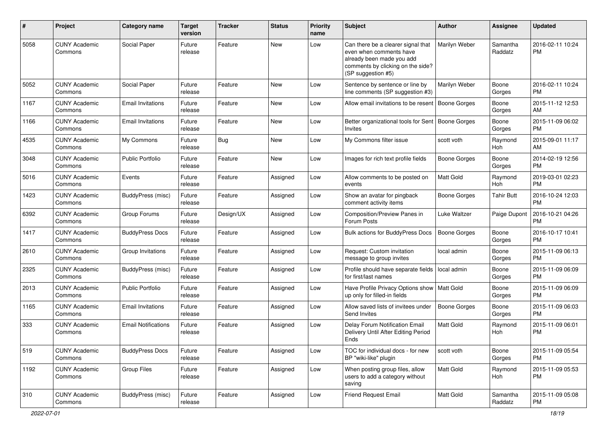| #    | Project                         | Category name              | <b>Target</b><br>version | Tracker   | <b>Status</b> | <b>Priority</b><br>name | <b>Subject</b>                                                                                                                                        | Author              | <b>Assignee</b>     | <b>Updated</b>                |
|------|---------------------------------|----------------------------|--------------------------|-----------|---------------|-------------------------|-------------------------------------------------------------------------------------------------------------------------------------------------------|---------------------|---------------------|-------------------------------|
| 5058 | <b>CUNY Academic</b><br>Commons | Social Paper               | Future<br>release        | Feature   | <b>New</b>    | Low                     | Can there be a clearer signal that<br>even when comments have<br>already been made you add<br>comments by clicking on the side?<br>(SP suggestion #5) | Marilyn Weber       | Samantha<br>Raddatz | 2016-02-11 10:24<br><b>PM</b> |
| 5052 | <b>CUNY Academic</b><br>Commons | Social Paper               | Future<br>release        | Feature   | New           | Low                     | Sentence by sentence or line by<br>line comments (SP suggestion #3)                                                                                   | Marilyn Weber       | Boone<br>Gorges     | 2016-02-11 10:24<br><b>PM</b> |
| 1167 | <b>CUNY Academic</b><br>Commons | <b>Email Invitations</b>   | Future<br>release        | Feature   | <b>New</b>    | Low                     | Allow email invitations to be resent                                                                                                                  | <b>Boone Gorges</b> | Boone<br>Gorges     | 2015-11-12 12:53<br>AM        |
| 1166 | <b>CUNY Academic</b><br>Commons | <b>Email Invitations</b>   | Future<br>release        | Feature   | <b>New</b>    | Low                     | Better organizational tools for Sent   Boone Gorges<br>Invites                                                                                        |                     | Boone<br>Gorges     | 2015-11-09 06:02<br><b>PM</b> |
| 4535 | <b>CUNY Academic</b><br>Commons | My Commons                 | Future<br>release        | Bug       | <b>New</b>    | Low                     | My Commons filter issue                                                                                                                               | scott voth          | Raymond<br>Hoh      | 2015-09-01 11:17<br>AM        |
| 3048 | <b>CUNY Academic</b><br>Commons | <b>Public Portfolio</b>    | Future<br>release        | Feature   | <b>New</b>    | Low                     | Images for rich text profile fields                                                                                                                   | <b>Boone Gorges</b> | Boone<br>Gorges     | 2014-02-19 12:56<br><b>PM</b> |
| 5016 | <b>CUNY Academic</b><br>Commons | Events                     | Future<br>release        | Feature   | Assigned      | Low                     | Allow comments to be posted on<br>events                                                                                                              | <b>Matt Gold</b>    | Raymond<br>Hoh      | 2019-03-01 02:23<br><b>PM</b> |
| 1423 | <b>CUNY Academic</b><br>Commons | BuddyPress (misc)          | Future<br>release        | Feature   | Assigned      | Low                     | Show an avatar for pingback<br>comment activity items                                                                                                 | <b>Boone Gorges</b> | <b>Tahir Butt</b>   | 2016-10-24 12:03<br><b>PM</b> |
| 6392 | <b>CUNY Academic</b><br>Commons | Group Forums               | Future<br>release        | Design/UX | Assigned      | Low                     | Composition/Preview Panes in<br>Forum Posts                                                                                                           | Luke Waltzer        | Paige Dupont        | 2016-10-21 04:26<br><b>PM</b> |
| 1417 | <b>CUNY Academic</b><br>Commons | <b>BuddyPress Docs</b>     | Future<br>release        | Feature   | Assigned      | Low                     | Bulk actions for BuddyPress Docs                                                                                                                      | <b>Boone Gorges</b> | Boone<br>Gorges     | 2016-10-17 10:41<br><b>PM</b> |
| 2610 | <b>CUNY Academic</b><br>Commons | Group Invitations          | Future<br>release        | Feature   | Assigned      | Low                     | Request: Custom invitation<br>message to group invites                                                                                                | local admin         | Boone<br>Gorges     | 2015-11-09 06:13<br><b>PM</b> |
| 2325 | <b>CUNY Academic</b><br>Commons | BuddyPress (misc)          | Future<br>release        | Feature   | Assigned      | Low                     | Profile should have separate fields<br>for first/last names                                                                                           | local admin         | Boone<br>Gorges     | 2015-11-09 06:09<br><b>PM</b> |
| 2013 | <b>CUNY Academic</b><br>Commons | <b>Public Portfolio</b>    | Future<br>release        | Feature   | Assigned      | Low                     | Have Profile Privacy Options show   Matt Gold<br>up only for filled-in fields                                                                         |                     | Boone<br>Gorges     | 2015-11-09 06:09<br><b>PM</b> |
| 1165 | <b>CUNY Academic</b><br>Commons | <b>Email Invitations</b>   | Future<br>release        | Feature   | Assigned      | Low                     | Allow saved lists of invitees under<br>Send Invites                                                                                                   | <b>Boone Gorges</b> | Boone<br>Gorges     | 2015-11-09 06:03<br><b>PM</b> |
| 333  | <b>CUNY Academic</b><br>Commons | <b>Email Notifications</b> | Future<br>release        | Feature   | Assigned      | Low                     | Delay Forum Notification Email<br>Delivery Until After Editing Period<br>Ends                                                                         | <b>Matt Gold</b>    | Raymond<br>Hoh      | 2015-11-09 06:01<br><b>PM</b> |
| 519  | <b>CUNY Academic</b><br>Commons | <b>BuddyPress Docs</b>     | Future<br>release        | Feature   | Assigned      | Low                     | TOC for individual docs - for new<br>BP "wiki-like" plugin                                                                                            | scott voth          | Boone<br>Gorges     | 2015-11-09 05:54<br><b>PM</b> |
| 1192 | <b>CUNY Academic</b><br>Commons | Group Files                | Future<br>release        | Feature   | Assigned      | Low                     | When posting group files, allow<br>users to add a category without<br>saving                                                                          | Matt Gold           | Raymond<br>Hoh      | 2015-11-09 05:53<br><b>PM</b> |
| 310  | <b>CUNY Academic</b><br>Commons | BuddyPress (misc)          | Future<br>release        | Feature   | Assigned      | Low                     | Friend Request Email                                                                                                                                  | Matt Gold           | Samantha<br>Raddatz | 2015-11-09 05:08<br><b>PM</b> |